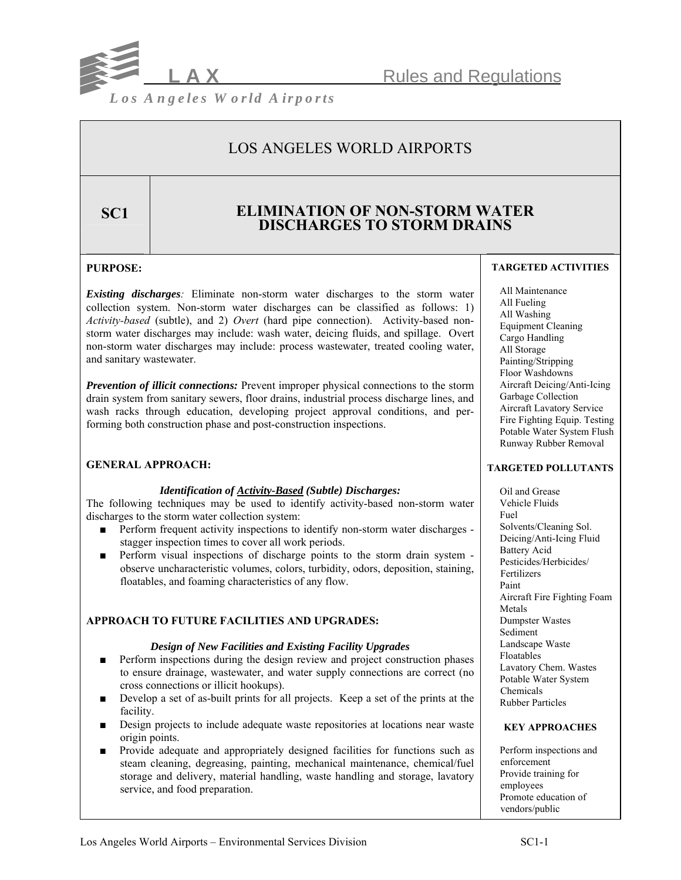

## LOS ANGELES WORLD AIRPORTS

## **SC1 ELIMINATION OF NON-STORM WATER DISCHARGES TO STORM DRAINS**

## **PURPOSE:**

*Existing discharges:* Eliminate non-storm water discharges to the storm water collection system. Non-storm water discharges can be classified as follows: 1) *Activity-based* (subtle), and 2) *Overt* (hard pipe connection). Activity-based nonstorm water discharges may include: wash water, deicing fluids, and spillage. Overt non-storm water discharges may include: process wastewater, treated cooling water, and sanitary wastewater.

*Prevention of illicit connections:* Prevent improper physical connections to the storm drain system from sanitary sewers, floor drains, industrial process discharge lines, and wash racks through education, developing project approval conditions, and performing both construction phase and post-construction inspections.

## **GENERAL APPROACH:**

## *Identification of Activity-Based (Subtle) Discharges:*

The following techniques may be used to identify activity-based non-storm water discharges to the storm water collection system:

- Perform frequent activity inspections to identify non-storm water discharges stagger inspection times to cover all work periods.
- Perform visual inspections of discharge points to the storm drain system observe uncharacteristic volumes, colors, turbidity, odors, deposition, staining, floatables, and foaming characteristics of any flow.

## **APPROACH TO FUTURE FACILITIES AND UPGRADES:**

## *Design of New Facilities and Existing Facility Upgrades*

- Perform inspections during the design review and project construction phases to ensure drainage, wastewater, and water supply connections are correct (no cross connections or illicit hookups).
- Develop a set of as-built prints for all projects. Keep a set of the prints at the facility.
- Design projects to include adequate waste repositories at locations near waste origin points.
- Provide adequate and appropriately designed facilities for functions such as steam cleaning, degreasing, painting, mechanical maintenance, chemical/fuel storage and delivery, material handling, waste handling and storage, lavatory service, and food preparation.

#### **TARGETED ACTIVITIES**

 All Maintenance All Fueling All Washing Equipment Cleaning Cargo Handling All Storage Painting/Stripping Floor Washdowns Aircraft Deicing/Anti-Icing Garbage Collection Aircraft Lavatory Service Fire Fighting Equip. Testing Potable Water System Flush Runway Rubber Removal

## **TARGETED POLLUTANTS**

 Oil and Grease Vehicle Fluids Fuel Solvents/Cleaning Sol. Deicing/Anti-Icing Fluid Battery Acid Pesticides/Herbicides/ Fertilizers Paint Aircraft Fire Fighting Foam Metals Dumpster Wastes Sediment Landscape Waste Floatables Lavatory Chem. Wastes Potable Water System Chemicals Rubber Particles

## **KEY APPROACHES**

 Perform inspections and enforcement Provide training for employees Promote education of vendors/public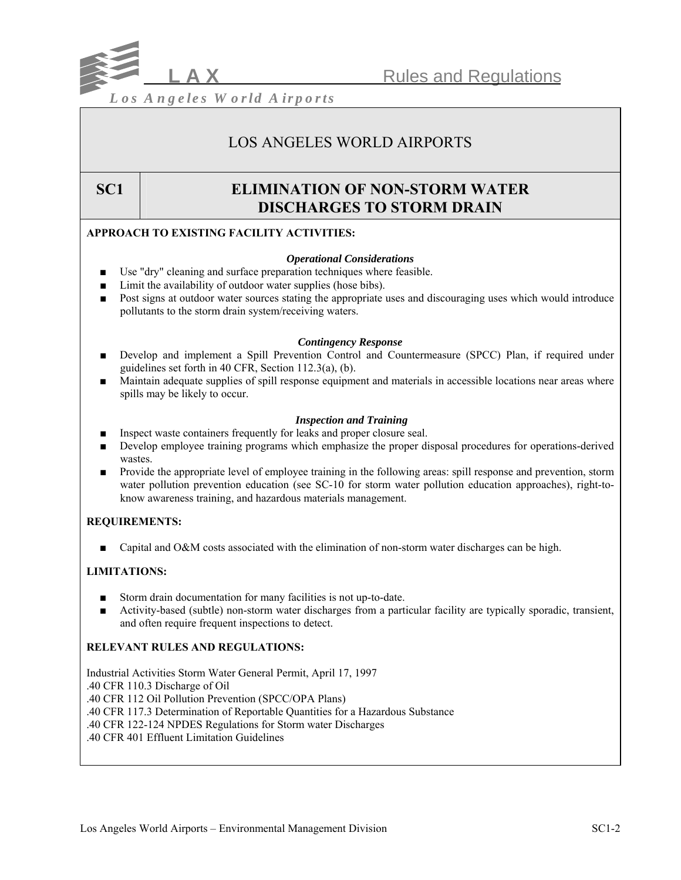

## LOS ANGELES WORLD AIRPORTS

## **SC1 ELIMINATION OF NON-STORM WATER DISCHARGES TO STORM DRAIN**

## **APPROACH TO EXISTING FACILITY ACTIVITIES:**

## *Operational Considerations*

- Use "dry" cleaning and surface preparation techniques where feasible.
- Limit the availability of outdoor water supplies (hose bibs).
- Post signs at outdoor water sources stating the appropriate uses and discouraging uses which would introduce pollutants to the storm drain system/receiving waters.

## *Contingency Response*

- Develop and implement a Spill Prevention Control and Countermeasure (SPCC) Plan, if required under guidelines set forth in 40 CFR, Section 112.3(a), (b).
- Maintain adequate supplies of spill response equipment and materials in accessible locations near areas where spills may be likely to occur.

## *Inspection and Training*

- Inspect waste containers frequently for leaks and proper closure seal.
- Develop employee training programs which emphasize the proper disposal procedures for operations-derived wastes.
- Provide the appropriate level of employee training in the following areas: spill response and prevention, storm water pollution prevention education (see SC-10 for storm water pollution education approaches), right-toknow awareness training, and hazardous materials management.

## **REQUIREMENTS:**

■ Capital and O&M costs associated with the elimination of non-storm water discharges can be high.

## **LIMITATIONS:**

- Storm drain documentation for many facilities is not up-to-date.
- Activity-based (subtle) non-storm water discharges from a particular facility are typically sporadic, transient, and often require frequent inspections to detect.

## **RELEVANT RULES AND REGULATIONS:**

Industrial Activities Storm Water General Permit, April 17, 1997 .40 CFR 110.3 Discharge of Oil .40 CFR 112 Oil Pollution Prevention (SPCC/OPA Plans) .40 CFR 117.3 Determination of Reportable Quantities for a Hazardous Substance .40 CFR 122-124 NPDES Regulations for Storm water Discharges .40 CFR 401 Effluent Limitation Guidelines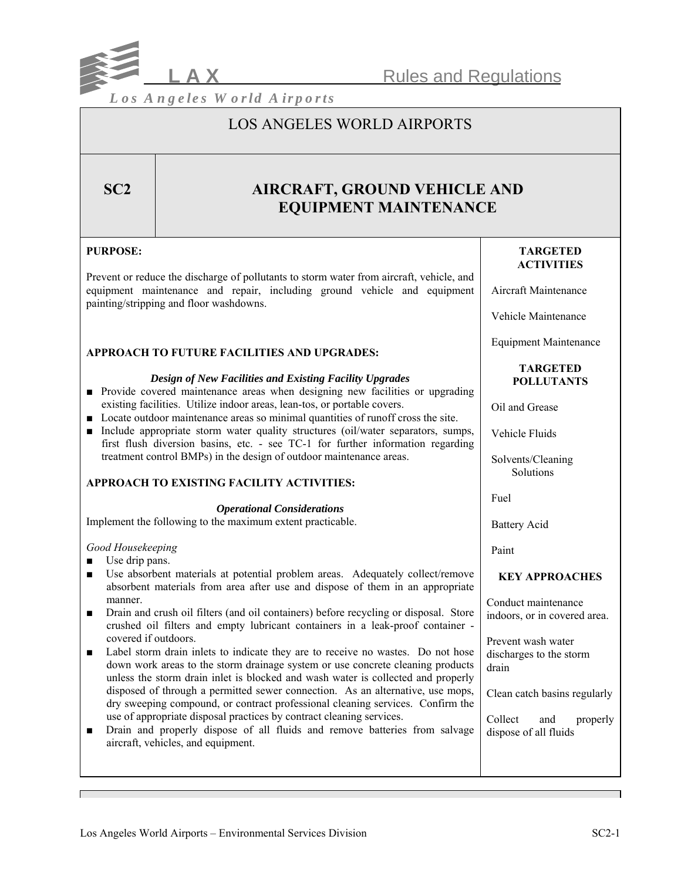

## LOS ANGELES WORLD AIRPORTS

## **SC2** AIRCRAFT, GROUND VEHICLE AND **EQUIPMENT MAINTENANCE**

## **PURPOSE:**

Prevent or reduce the discharge of pollutants to storm water from aircraft, vehicle, and equipment maintenance and repair, including ground vehicle and equipment painting/stripping and floor washdowns.

## **APPROACH TO FUTURE FACILITIES AND UPGRADES:**

### *Design of New Facilities and Existing Facility Upgrades*

- Provide covered maintenance areas when designing new facilities or upgrading existing facilities. Utilize indoor areas, lean-tos, or portable covers.
- Locate outdoor maintenance areas so minimal quantities of runoff cross the site.
- Include appropriate storm water quality structures (oil/water separators, sumps, first flush diversion basins, etc. - see TC-1 for further information regarding treatment control BMPs) in the design of outdoor maintenance areas.

## **APPROACH TO EXISTING FACILITY ACTIVITIES:**

#### *Operational Considerations*

Implement the following to the maximum extent practicable.

## *Good Housekeeping*

■ Use drip pans.

- Use absorbent materials at potential problem areas. Adequately collect/remove absorbent materials from area after use and dispose of them in an appropriate manner.
- Drain and crush oil filters (and oil containers) before recycling or disposal. Store crushed oil filters and empty lubricant containers in a leak-proof container covered if outdoors.
- Label storm drain inlets to indicate they are to receive no wastes. Do not hose down work areas to the storm drainage system or use concrete cleaning products unless the storm drain inlet is blocked and wash water is collected and properly disposed of through a permitted sewer connection. As an alternative, use mops, dry sweeping compound, or contract professional cleaning services. Confirm the use of appropriate disposal practices by contract cleaning services.
- Drain and properly dispose of all fluids and remove batteries from salvage aircraft, vehicles, and equipment.

## **TARGETED ACTIVITIES**

Aircraft Maintenance

Vehicle Maintenance

Equipment Maintenance

#### **TARGETED POLLUTANTS**

Oil and Grease

Vehicle Fluids

 Solvents/Cleaning **Solutions** 

Fuel

Battery Acid

Paint

## **KEY APPROACHES**

Conduct maintenance indoors, or in covered area.

Prevent wash water discharges to the storm drain

Clean catch basins regularly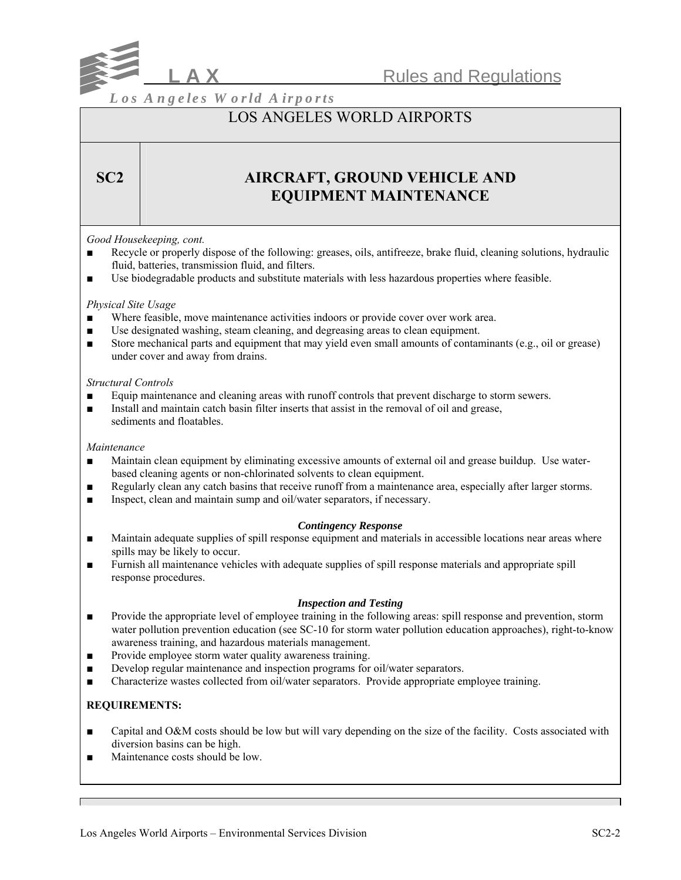

## LOS ANGELES WORLD AIRPORTS

## **SC2** AIRCRAFT, GROUND VEHICLE AND **EQUIPMENT MAINTENANCE**

## *Good Housekeeping, cont.*

- Recycle or properly dispose of the following: greases, oils, antifreeze, brake fluid, cleaning solutions, hydraulic fluid, batteries, transmission fluid, and filters.
- Use biodegradable products and substitute materials with less hazardous properties where feasible.

#### *Physical Site Usage*

- Where feasible, move maintenance activities indoors or provide cover over work area.
- Use designated washing, steam cleaning, and degreasing areas to clean equipment.
- Store mechanical parts and equipment that may yield even small amounts of contaminants (e.g., oil or grease) under cover and away from drains.

#### *Structural Controls*

- Equip maintenance and cleaning areas with runoff controls that prevent discharge to storm sewers.
- Install and maintain catch basin filter inserts that assist in the removal of oil and grease, sediments and floatables.

#### *Maintenance*

- Maintain clean equipment by eliminating excessive amounts of external oil and grease buildup. Use waterbased cleaning agents or non-chlorinated solvents to clean equipment.
- Regularly clean any catch basins that receive runoff from a maintenance area, especially after larger storms.
- Inspect, clean and maintain sump and oil/water separators, if necessary.

## *Contingency Response*

- Maintain adequate supplies of spill response equipment and materials in accessible locations near areas where spills may be likely to occur.
- Furnish all maintenance vehicles with adequate supplies of spill response materials and appropriate spill response procedures.

#### *Inspection and Testing*

- Provide the appropriate level of employee training in the following areas: spill response and prevention, storm water pollution prevention education (see SC-10 for storm water pollution education approaches), right-to-know awareness training, and hazardous materials management.
- Provide employee storm water quality awareness training.
- Develop regular maintenance and inspection programs for oil/water separators.
- Characterize wastes collected from oil/water separators. Provide appropriate employee training.

## **REQUIREMENTS:**

- Capital and O&M costs should be low but will vary depending on the size of the facility. Costs associated with diversion basins can be high.
- Maintenance costs should be low.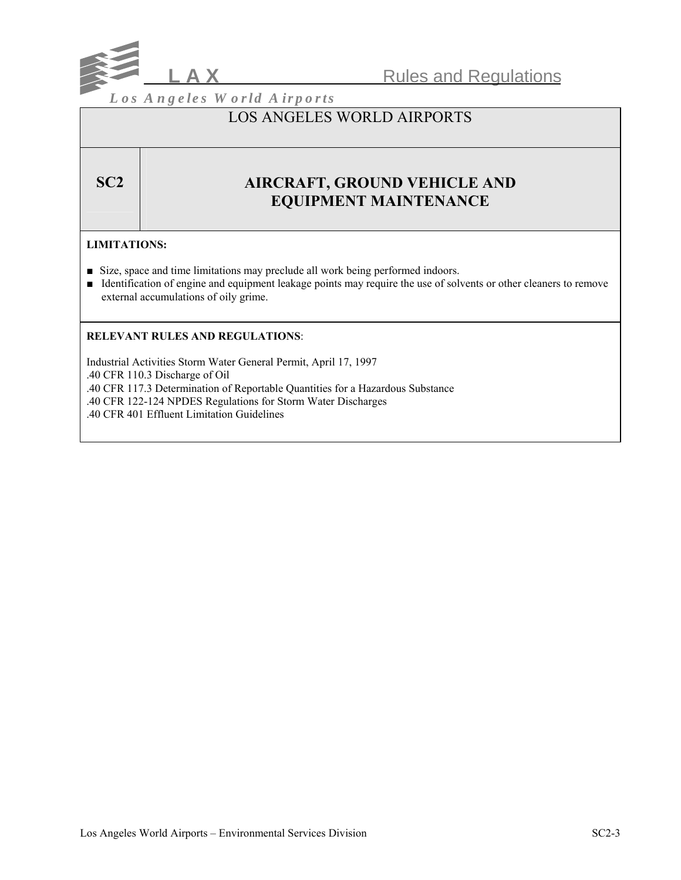

## LOS ANGELES WORLD AIRPORTS

## **SC2** AIRCRAFT, GROUND VEHICLE AND **EQUIPMENT MAINTENANCE**

## **LIMITATIONS:**

- Size, space and time limitations may preclude all work being performed indoors.
- Identification of engine and equipment leakage points may require the use of solvents or other cleaners to remove external accumulations of oily grime.

## **RELEVANT RULES AND REGULATIONS**:

Industrial Activities Storm Water General Permit, April 17, 1997

.40 CFR 110.3 Discharge of Oil

.40 CFR 117.3 Determination of Reportable Quantities for a Hazardous Substance

.40 CFR 122-124 NPDES Regulations for Storm Water Discharges

.40 CFR 401 Effluent Limitation Guidelines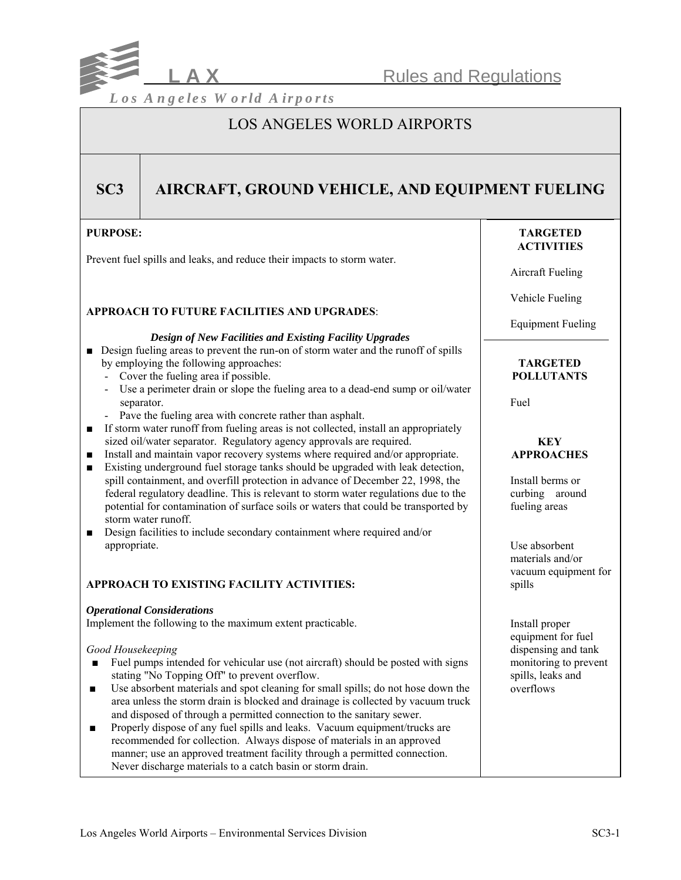

## LOS ANGELES WORLD AIRPORTS

## **SC3** AIRCRAFT, GROUND VEHICLE, AND EQUIPMENT FUELING

## **PURPOSE:**

Prevent fuel spills and leaks, and reduce their impacts to storm water.

## **APPROACH TO FUTURE FACILITIES AND UPGRADES**:

#### *Design of New Facilities and Existing Facility Upgrades*

- Design fueling areas to prevent the run-on of storm water and the runoff of spills by employing the following approaches:
	- Cover the fueling area if possible.
	- Use a perimeter drain or slope the fueling area to a dead-end sump or oil/water separator.
	- Pave the fueling area with concrete rather than asphalt.
- If storm water runoff from fueling areas is not collected, install an appropriately sized oil/water separator. Regulatory agency approvals are required.
- Install and maintain vapor recovery systems where required and/or appropriate.
- Existing underground fuel storage tanks should be upgraded with leak detection, spill containment, and overfill protection in advance of December 22, 1998, the federal regulatory deadline. This is relevant to storm water regulations due to the potential for contamination of surface soils or waters that could be transported by storm water runoff.
- Design facilities to include secondary containment where required and/or appropriate.

## **APPROACH TO EXISTING FACILITY ACTIVITIES:**

## *Operational Considerations*

Implement the following to the maximum extent practicable.

## *Good Housekeeping*

- Fuel pumps intended for vehicular use (not aircraft) should be posted with signs stating "No Topping Off" to prevent overflow.
- Use absorbent materials and spot cleaning for small spills; do not hose down the area unless the storm drain is blocked and drainage is collected by vacuum truck and disposed of through a permitted connection to the sanitary sewer.
- Properly dispose of any fuel spills and leaks. Vacuum equipment/trucks are recommended for collection. Always dispose of materials in an approved manner; use an approved treatment facility through a permitted connection. Never discharge materials to a catch basin or storm drain.

## **TARGETED ACTIVITIES**

Aircraft Fueling

Vehicle Fueling

Equipment Fueling

#### **TARGETED POLLUTANTS**

Fuel

## **KEY APPROACHES**

 Install berms or curbing around fueling areas

 Use absorbent materials and/or vacuum equipment for spills

 Install proper equipment for fuel dispensing and tank monitoring to prevent spills, leaks and overflows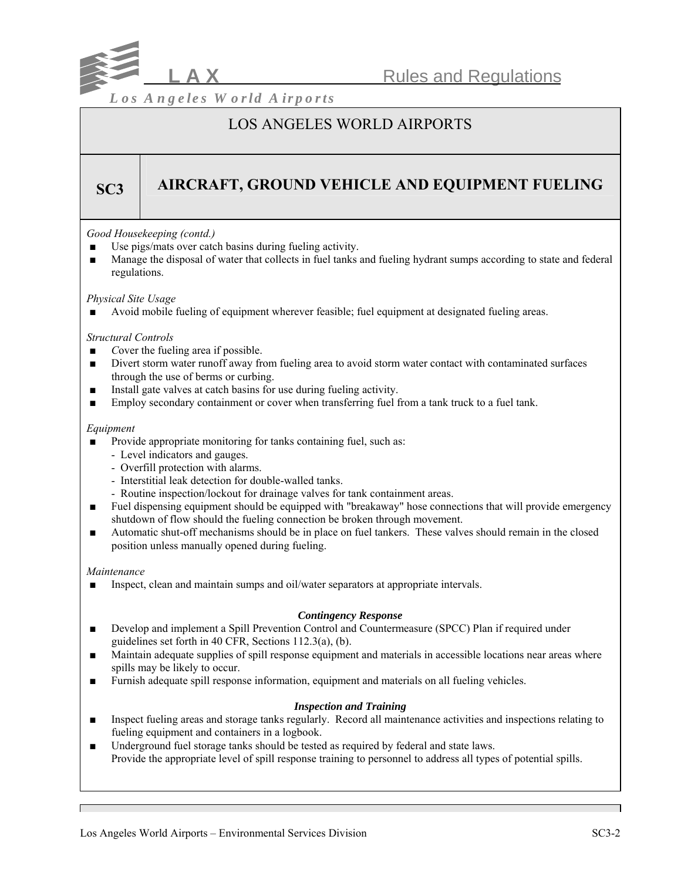

## LOS ANGELES WORLD AIRPORTS

# **SC3 AIRCRAFT, GROUND VEHICLE AND EQUIPMENT FUELING**

## *Good Housekeeping (contd.)*

- Use pigs/mats over catch basins during fueling activity.
- Manage the disposal of water that collects in fuel tanks and fueling hydrant sumps according to state and federal regulations.

## *Physical Site Usage*

Avoid mobile fueling of equipment wherever feasible; fuel equipment at designated fueling areas.

## *Structural Controls*

- *Cover the fueling area if possible.*
- Divert storm water runoff away from fueling area to avoid storm water contact with contaminated surfaces through the use of berms or curbing.
- Install gate valves at catch basins for use during fueling activity.
- Employ secondary containment or cover when transferring fuel from a tank truck to a fuel tank.

## *Equipment*

- Provide appropriate monitoring for tanks containing fuel, such as:
	- Level indicators and gauges.
	- Overfill protection with alarms.
	- Interstitial leak detection for double-walled tanks.
	- Routine inspection/lockout for drainage valves for tank containment areas.
- Fuel dispensing equipment should be equipped with "breakaway" hose connections that will provide emergency shutdown of flow should the fueling connection be broken through movement.
- Automatic shut-off mechanisms should be in place on fuel tankers. These valves should remain in the closed position unless manually opened during fueling.

## *Maintenance*

Inspect, clean and maintain sumps and oil/water separators at appropriate intervals.

## *Contingency Response*

- Develop and implement a Spill Prevention Control and Countermeasure (SPCC) Plan if required under guidelines set forth in 40 CFR, Sections 112.3(a), (b).
- Maintain adequate supplies of spill response equipment and materials in accessible locations near areas where spills may be likely to occur.
- Furnish adequate spill response information, equipment and materials on all fueling vehicles.

## *Inspection and Training*

- Inspect fueling areas and storage tanks regularly. Record all maintenance activities and inspections relating to fueling equipment and containers in a logbook.
- Underground fuel storage tanks should be tested as required by federal and state laws. Provide the appropriate level of spill response training to personnel to address all types of potential spills.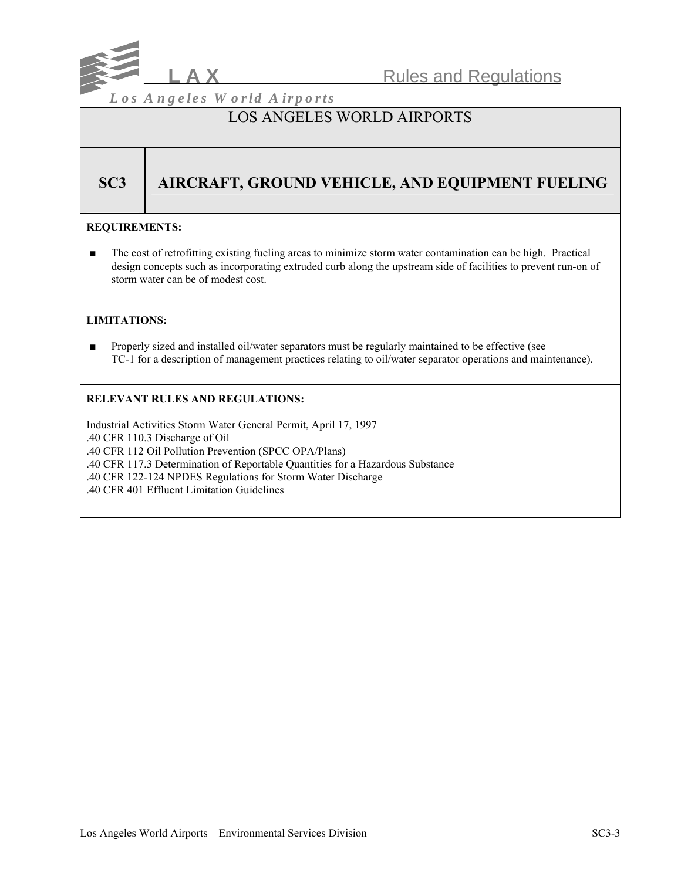

## LOS ANGELES WORLD AIRPORTS

# **SC3** | AIRCRAFT, GROUND VEHICLE, AND EQUIPMENT FUELING

## **REQUIREMENTS:**

■ The cost of retrofitting existing fueling areas to minimize storm water contamination can be high. Practical design concepts such as incorporating extruded curb along the upstream side of facilities to prevent run-on of storm water can be of modest cost.

## **LIMITATIONS:**

■ Properly sized and installed oil/water separators must be regularly maintained to be effective (see TC-1 for a description of management practices relating to oil/water separator operations and maintenance).

## **RELEVANT RULES AND REGULATIONS:**

Industrial Activities Storm Water General Permit, April 17, 1997 .40 CFR 110.3 Discharge of Oil .40 CFR 112 Oil Pollution Prevention (SPCC OPA/Plans) .40 CFR 117.3 Determination of Reportable Quantities for a Hazardous Substance .40 CFR 122-124 NPDES Regulations for Storm Water Discharge .40 CFR 401 Effluent Limitation Guidelines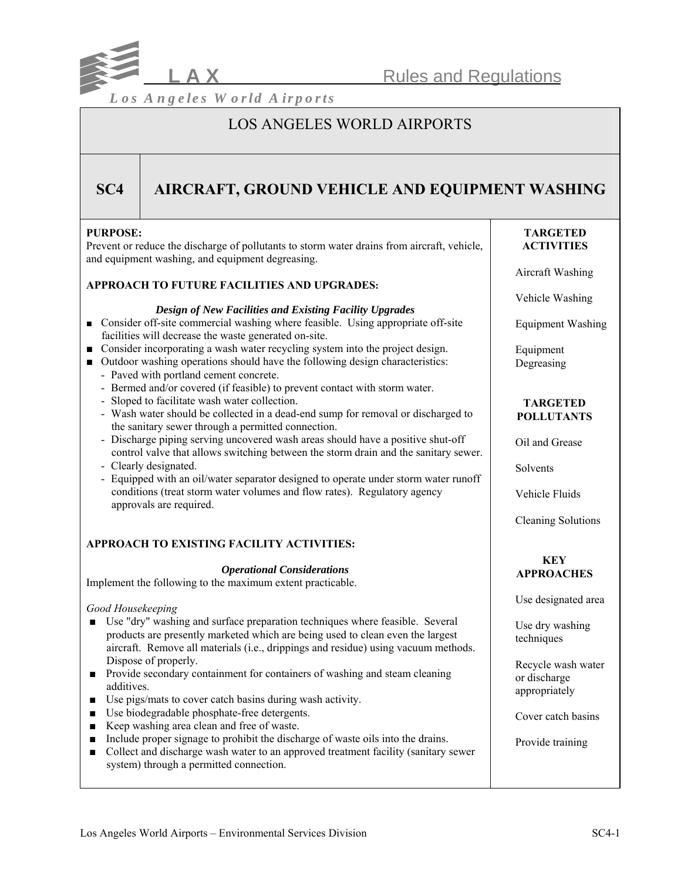

## LOS ANGELES WORLD AIRPORTS

## **SC4 AIRCRAFT, GROUND VEHICLE AND EQUIPMENT WASHING**

## **PURPOSE:**

Prevent or reduce the discharge of pollutants to storm water drains from aircraft, vehicle, and equipment washing, and equipment degreasing.

#### **APPROACH TO FUTURE FACILITIES AND UPGRADES:**

#### *Design of New Facilities and Existing Facility Upgrades*

- Consider off-site commercial washing where feasible. Using appropriate off-site facilities will decrease the waste generated on-site.
- Consider incorporating a wash water recycling system into the project design.
- Outdoor washing operations should have the following design characteristics:
	- Paved with portland cement concrete.
	- Bermed and/or covered (if feasible) to prevent contact with storm water.
	- Sloped to facilitate wash water collection.
	- Wash water should be collected in a dead-end sump for removal or discharged to the sanitary sewer through a permitted connection.
	- Discharge piping serving uncovered wash areas should have a positive shut-off control valve that allows switching between the storm drain and the sanitary sewer.
	- Clearly designated.
	- Equipped with an oil/water separator designed to operate under storm water runoff conditions (treat storm water volumes and flow rates). Regulatory agency approvals are required.

## **APPROACH TO EXISTING FACILITY ACTIVITIES:**

#### *Operational Considerations*

Implement the following to the maximum extent practicable.

#### *Good Housekeeping*

- Use "dry" washing and surface preparation techniques where feasible. Several products are presently marketed which are being used to clean even the largest aircraft. Remove all materials (i.e., drippings and residue) using vacuum methods. Dispose of properly.
- Provide secondary containment for containers of washing and steam cleaning additives.
- Use pigs/mats to cover catch basins during wash activity.
- Use biodegradable phosphate-free detergents.
- Keep washing area clean and free of waste.
- Include proper signage to prohibit the discharge of waste oils into the drains.
- Collect and discharge wash water to an approved treatment facility (sanitary sewer system) through a permitted connection.

## **TARGETED ACTIVITIES**

Aircraft Washing

Vehicle Washing

Equipment Washing

 Equipment Degreasing

### **TARGETED POLLUTANTS**

Oil and Grease

Solvents

Vehicle Fluids

Cleaning Solutions

## **KEY APPROACHES**

Use designated area

 Use dry washing techniques

 Recycle wash water or discharge appropriately

Cover catch basins

Provide training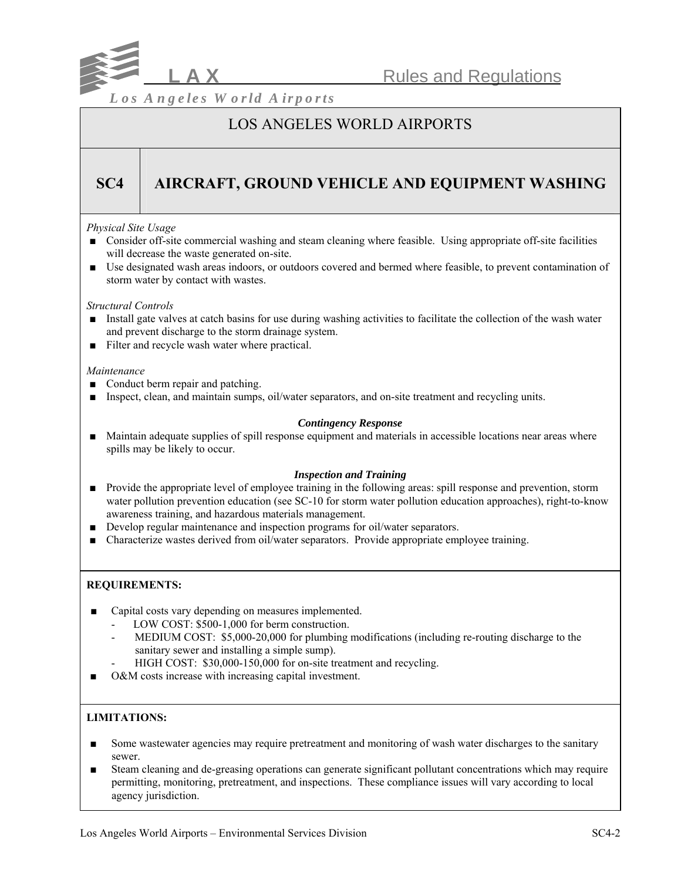

## LOS ANGELES WORLD AIRPORTS

# **SC4 AIRCRAFT, GROUND VEHICLE AND EQUIPMENT WASHING**

## *Physical Site Usage*

- Consider off-site commercial washing and steam cleaning where feasible. Using appropriate off-site facilities will decrease the waste generated on-site.
- Use designated wash areas indoors, or outdoors covered and bermed where feasible, to prevent contamination of storm water by contact with wastes.

#### *Structural Controls*

- Install gate valves at catch basins for use during washing activities to facilitate the collection of the wash water and prevent discharge to the storm drainage system.
- Filter and recycle wash water where practical.

#### *Maintenance*

- Conduct berm repair and patching.
- Inspect, clean, and maintain sumps, oil/water separators, and on-site treatment and recycling units.

#### *Contingency Response*

■ Maintain adequate supplies of spill response equipment and materials in accessible locations near areas where spills may be likely to occur.

## *Inspection and Training*

- Provide the appropriate level of employee training in the following areas: spill response and prevention, storm water pollution prevention education (see SC-10 for storm water pollution education approaches), right-to-know awareness training, and hazardous materials management.
- Develop regular maintenance and inspection programs for oil/water separators.
- Characterize wastes derived from oil/water separators. Provide appropriate employee training.

## **REQUIREMENTS:**

- Capital costs vary depending on measures implemented.
	- LOW COST: \$500-1,000 for berm construction.
	- MEDIUM COST: \$5,000-20,000 for plumbing modifications (including re-routing discharge to the sanitary sewer and installing a simple sump).
		- HIGH COST: \$30,000-150,000 for on-site treatment and recycling.
- O&M costs increase with increasing capital investment.

## **LIMITATIONS:**

- Some wastewater agencies may require pretreatment and monitoring of wash water discharges to the sanitary sewer.
- Steam cleaning and de-greasing operations can generate significant pollutant concentrations which may require permitting, monitoring, pretreatment, and inspections. These compliance issues will vary according to local agency jurisdiction.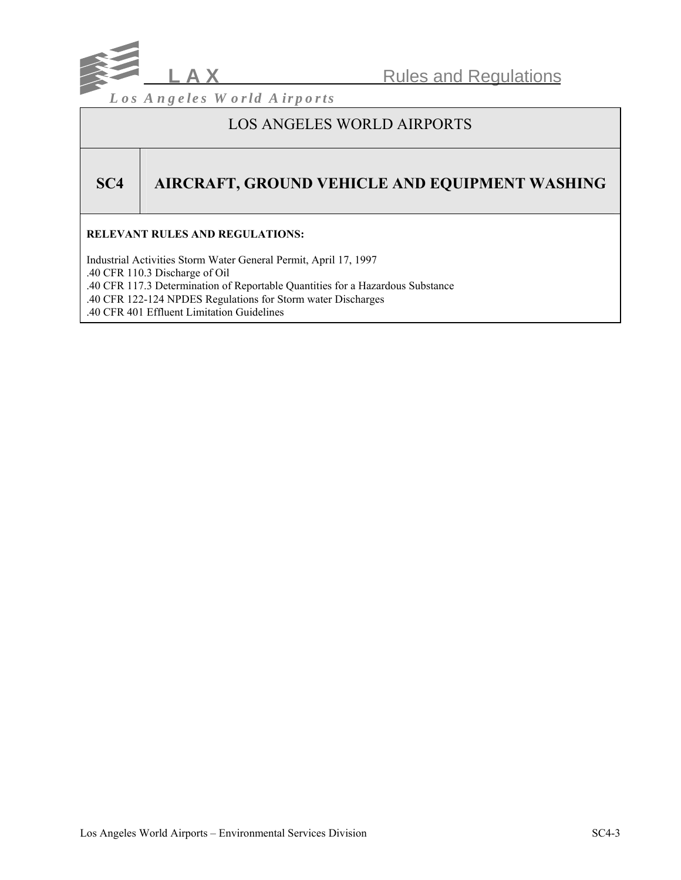

## LOS ANGELES WORLD AIRPORTS

# **SC4 AIRCRAFT, GROUND VEHICLE AND EQUIPMENT WASHING**

## **RELEVANT RULES AND REGULATIONS:**

Industrial Activities Storm Water General Permit, April 17, 1997 .40 CFR 110.3 Discharge of Oil .40 CFR 117.3 Determination of Reportable Quantities for a Hazardous Substance .40 CFR 122-124 NPDES Regulations for Storm water Discharges .40 CFR 401 Effluent Limitation Guidelines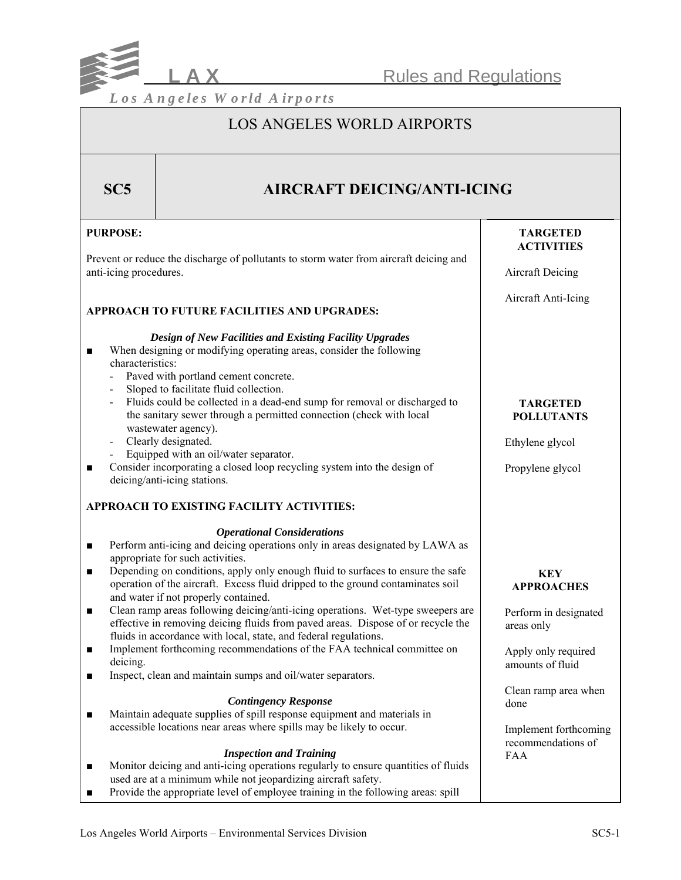

## LOS ANGELES WORLD AIRPORTS

| SC5                                                                                                                                                    | <b>AIRCRAFT DEICING/ANTI-ICING</b>                                                                                                                                                                                                                                                                                                                                                                                                                                                                                                                                                                                                                                                         |                                                                                               |  |
|--------------------------------------------------------------------------------------------------------------------------------------------------------|--------------------------------------------------------------------------------------------------------------------------------------------------------------------------------------------------------------------------------------------------------------------------------------------------------------------------------------------------------------------------------------------------------------------------------------------------------------------------------------------------------------------------------------------------------------------------------------------------------------------------------------------------------------------------------------------|-----------------------------------------------------------------------------------------------|--|
| <b>PURPOSE:</b>                                                                                                                                        |                                                                                                                                                                                                                                                                                                                                                                                                                                                                                                                                                                                                                                                                                            | <b>TARGETED</b><br><b>ACTIVITIES</b>                                                          |  |
| Prevent or reduce the discharge of pollutants to storm water from aircraft deicing and<br>anti-icing procedures.                                       |                                                                                                                                                                                                                                                                                                                                                                                                                                                                                                                                                                                                                                                                                            | <b>Aircraft Deicing</b>                                                                       |  |
|                                                                                                                                                        | APPROACH TO FUTURE FACILITIES AND UPGRADES:                                                                                                                                                                                                                                                                                                                                                                                                                                                                                                                                                                                                                                                | Aircraft Anti-Icing                                                                           |  |
| $\blacksquare$<br>characteristics:<br>$\overline{\phantom{a}}$                                                                                         | <b>Design of New Facilities and Existing Facility Upgrades</b><br>When designing or modifying operating areas, consider the following<br>Paved with portland cement concrete.<br>Sloped to facilitate fluid collection.<br>Fluids could be collected in a dead-end sump for removal or discharged to<br>the sanitary sewer through a permitted connection (check with local<br>wastewater agency).<br>Clearly designated.                                                                                                                                                                                                                                                                  | <b>TARGETED</b><br><b>POLLUTANTS</b><br>Ethylene glycol                                       |  |
| Equipped with an oil/water separator.<br>Consider incorporating a closed loop recycling system into the design of<br>П<br>deicing/anti-icing stations. |                                                                                                                                                                                                                                                                                                                                                                                                                                                                                                                                                                                                                                                                                            | Propylene glycol                                                                              |  |
|                                                                                                                                                        | APPROACH TO EXISTING FACILITY ACTIVITIES:                                                                                                                                                                                                                                                                                                                                                                                                                                                                                                                                                                                                                                                  |                                                                                               |  |
| $\blacksquare$<br>$\blacksquare$<br>$\blacksquare$<br>п                                                                                                | <b>Operational Considerations</b><br>Perform anti-icing and deicing operations only in areas designated by LAWA as<br>appropriate for such activities.<br>Depending on conditions, apply only enough fluid to surfaces to ensure the safe<br>operation of the aircraft. Excess fluid dripped to the ground contaminates soil<br>and water if not properly contained.<br>Clean ramp areas following deicing/anti-icing operations. Wet-type sweepers are<br>effective in removing deicing fluids from paved areas. Dispose of or recycle the<br>fluids in accordance with local, state, and federal regulations.<br>Implement forthcoming recommendations of the FAA technical committee on | <b>KEY</b><br><b>APPROACHES</b><br>Perform in designated<br>areas only<br>Apply only required |  |
| deicing.<br>$\blacksquare$                                                                                                                             | Inspect, clean and maintain sumps and oil/water separators.                                                                                                                                                                                                                                                                                                                                                                                                                                                                                                                                                                                                                                | amounts of fluid<br>Clean ramp area when                                                      |  |
| $\blacksquare$                                                                                                                                         | <b>Contingency Response</b><br>Maintain adequate supplies of spill response equipment and materials in<br>accessible locations near areas where spills may be likely to occur.<br><b>Inspection and Training</b>                                                                                                                                                                                                                                                                                                                                                                                                                                                                           | done<br>Implement forthcoming<br>recommendations of                                           |  |
| п<br>п                                                                                                                                                 | Monitor deicing and anti-icing operations regularly to ensure quantities of fluids<br>used are at a minimum while not jeopardizing aircraft safety.<br>Provide the appropriate level of employee training in the following areas: spill                                                                                                                                                                                                                                                                                                                                                                                                                                                    | <b>FAA</b>                                                                                    |  |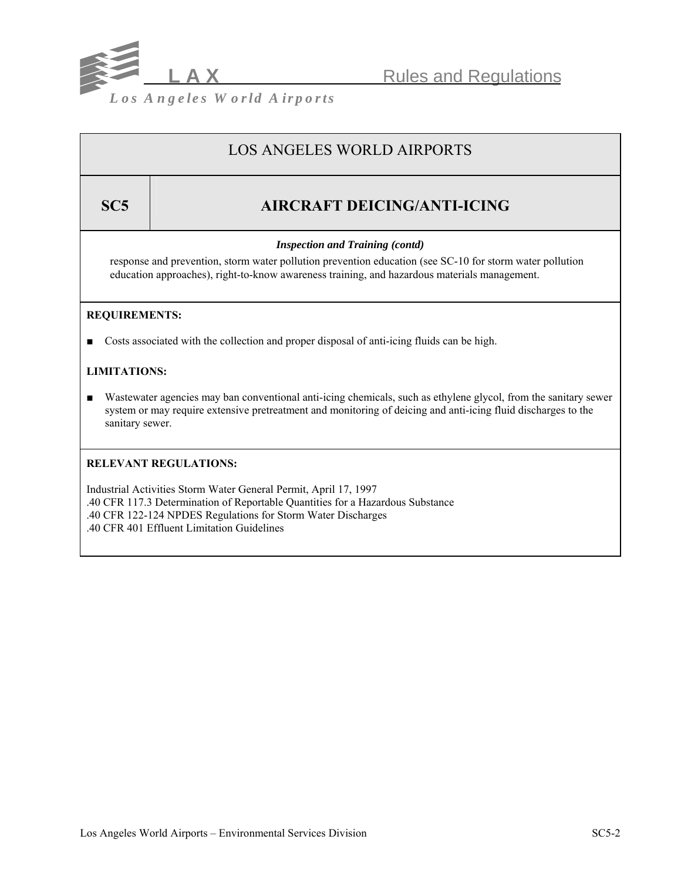

## LOS ANGELES WORLD AIRPORTS

# **SC5 AIRCRAFT DEICING/ANTI-ICING**

## *Inspection and Training (contd)*

response and prevention, storm water pollution prevention education (see SC-10 for storm water pollution education approaches), right-to-know awareness training, and hazardous materials management.

## **REQUIREMENTS:**

■ Costs associated with the collection and proper disposal of anti-icing fluids can be high.

## **LIMITATIONS:**

■ Wastewater agencies may ban conventional anti-icing chemicals, such as ethylene glycol, from the sanitary sewer system or may require extensive pretreatment and monitoring of deicing and anti-icing fluid discharges to the sanitary sewer.

## **RELEVANT REGULATIONS:**

Industrial Activities Storm Water General Permit, April 17, 1997 .40 CFR 117.3 Determination of Reportable Quantities for a Hazardous Substance .40 CFR 122-124 NPDES Regulations for Storm Water Discharges .40 CFR 401 Effluent Limitation Guidelines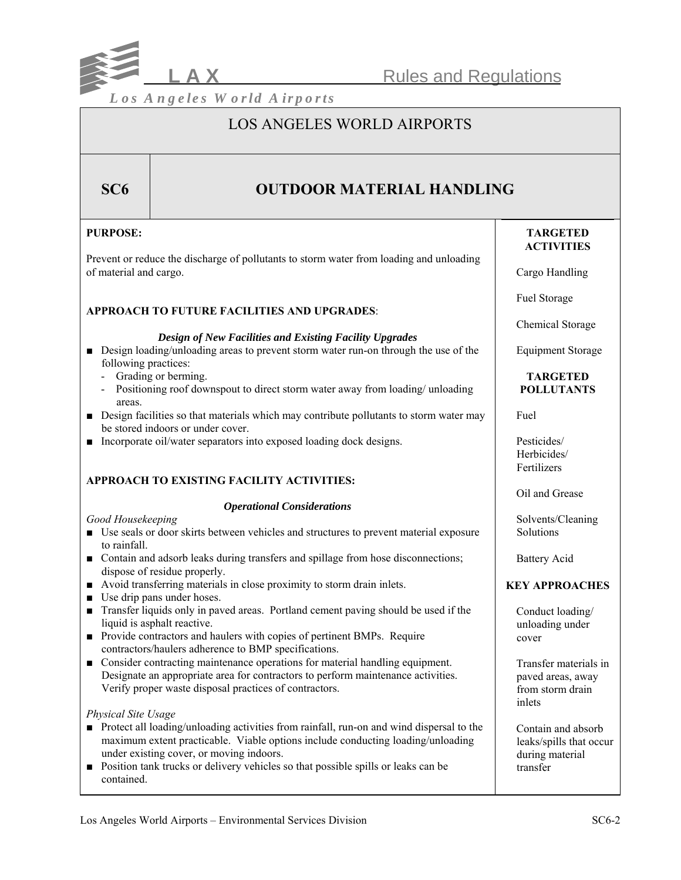

## LOS ANGELES WORLD AIRPORTS

## **SC6 OUTDOOR MATERIAL HANDLING**

| <b>PURPOSE:</b>                                                                                                                                                                                                                                                                                                                                   | <b>TARGETED</b><br><b>ACTIVITIES</b>                                         |
|---------------------------------------------------------------------------------------------------------------------------------------------------------------------------------------------------------------------------------------------------------------------------------------------------------------------------------------------------|------------------------------------------------------------------------------|
| Prevent or reduce the discharge of pollutants to storm water from loading and unloading<br>of material and cargo.                                                                                                                                                                                                                                 | Cargo Handling                                                               |
| <b>APPROACH TO FUTURE FACILITIES AND UPGRADES:</b>                                                                                                                                                                                                                                                                                                | Fuel Storage                                                                 |
|                                                                                                                                                                                                                                                                                                                                                   | Chemical Storage                                                             |
| Design of New Facilities and Existing Facility Upgrades<br>• Design loading/unloading areas to prevent storm water run-on through the use of the<br>following practices:                                                                                                                                                                          | <b>Equipment Storage</b>                                                     |
| Grading or berming.<br>Positioning roof downspout to direct storm water away from loading/ unloading<br>areas.                                                                                                                                                                                                                                    | <b>TARGETED</b><br><b>POLLUTANTS</b>                                         |
| • Design facilities so that materials which may contribute pollutants to storm water may<br>be stored indoors or under cover.                                                                                                                                                                                                                     | Fuel                                                                         |
| Incorporate oil/water separators into exposed loading dock designs.                                                                                                                                                                                                                                                                               | Pesticides/<br>Herbicides/<br>Fertilizers                                    |
| <b>APPROACH TO EXISTING FACILITY ACTIVITIES:</b>                                                                                                                                                                                                                                                                                                  | Oil and Grease                                                               |
| <b>Operational Considerations</b>                                                                                                                                                                                                                                                                                                                 |                                                                              |
| Good Housekeeping<br>• Use seals or door skirts between vehicles and structures to prevent material exposure<br>to rainfall.                                                                                                                                                                                                                      | Solvents/Cleaning<br>Solutions                                               |
| • Contain and adsorb leaks during transfers and spillage from hose disconnections;<br>dispose of residue properly.                                                                                                                                                                                                                                | <b>Battery Acid</b>                                                          |
| • Avoid transferring materials in close proximity to storm drain inlets.<br>$\blacksquare$ Use drip pans under hoses.                                                                                                                                                                                                                             | <b>KEY APPROACHES</b>                                                        |
| Transfer liquids only in paved areas. Portland cement paving should be used if the<br>$\blacksquare$<br>liquid is asphalt reactive.<br>• Provide contractors and haulers with copies of pertinent BMPs. Require<br>contractors/haulers adherence to BMP specifications.                                                                           | Conduct loading/<br>unloading under<br>cover                                 |
| • Consider contracting maintenance operations for material handling equipment.<br>Designate an appropriate area for contractors to perform maintenance activities.<br>Verify proper waste disposal practices of contractors.                                                                                                                      | Transfer materials in<br>paved areas, away<br>from storm drain<br>inlets     |
| Physical Site Usage<br>Protect all loading/unloading activities from rainfall, run-on and wind dispersal to the<br>maximum extent practicable. Viable options include conducting loading/unloading<br>under existing cover, or moving indoors.<br>Position tank trucks or delivery vehicles so that possible spills or leaks can be<br>contained. | Contain and absorb<br>leaks/spills that occur<br>during material<br>transfer |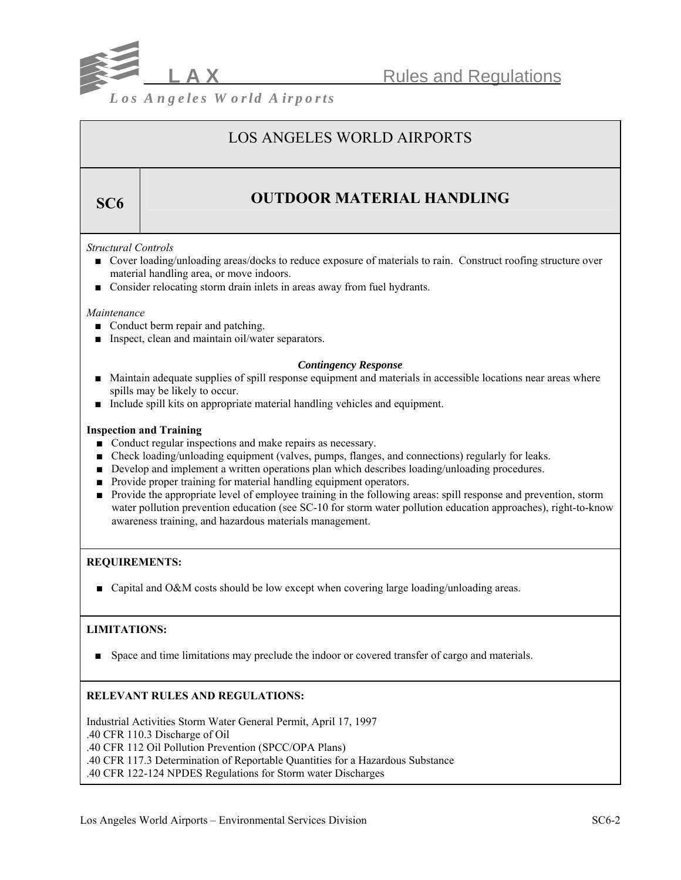

## LOS ANGELES WORLD AIRPORTS

# **SC6 OUTDOOR MATERIAL HANDLING**

## *Structural Controls*

- Cover loading/unloading areas/docks to reduce exposure of materials to rain. Construct roofing structure over material handling area, or move indoors.
- Consider relocating storm drain inlets in areas away from fuel hydrants.

#### *Maintenance*

- Conduct berm repair and patching.
- Inspect, clean and maintain oil/water separators.

## *Contingency Response*

- Maintain adequate supplies of spill response equipment and materials in accessible locations near areas where spills may be likely to occur.
- Include spill kits on appropriate material handling vehicles and equipment.

#### **Inspection and Training**

- Conduct regular inspections and make repairs as necessary.
- Check loading/unloading equipment (valves, pumps, flanges, and connections) regularly for leaks.
- Develop and implement a written operations plan which describes loading/unloading procedures.
- Provide proper training for material handling equipment operators.
- Provide the appropriate level of employee training in the following areas: spill response and prevention, storm water pollution prevention education (see SC-10 for storm water pollution education approaches), right-to-know awareness training, and hazardous materials management.

## **REQUIREMENTS:**

■ Capital and O&M costs should be low except when covering large loading/unloading areas.

## **LIMITATIONS:**

■ Space and time limitations may preclude the indoor or covered transfer of cargo and materials.

## **RELEVANT RULES AND REGULATIONS:**

Industrial Activities Storm Water General Permit, April 17, 1997 .40 CFR 110.3 Discharge of Oil .40 CFR 112 Oil Pollution Prevention (SPCC/OPA Plans) .40 CFR 117.3 Determination of Reportable Quantities for a Hazardous Substance .40 CFR 122-124 NPDES Regulations for Storm water Discharges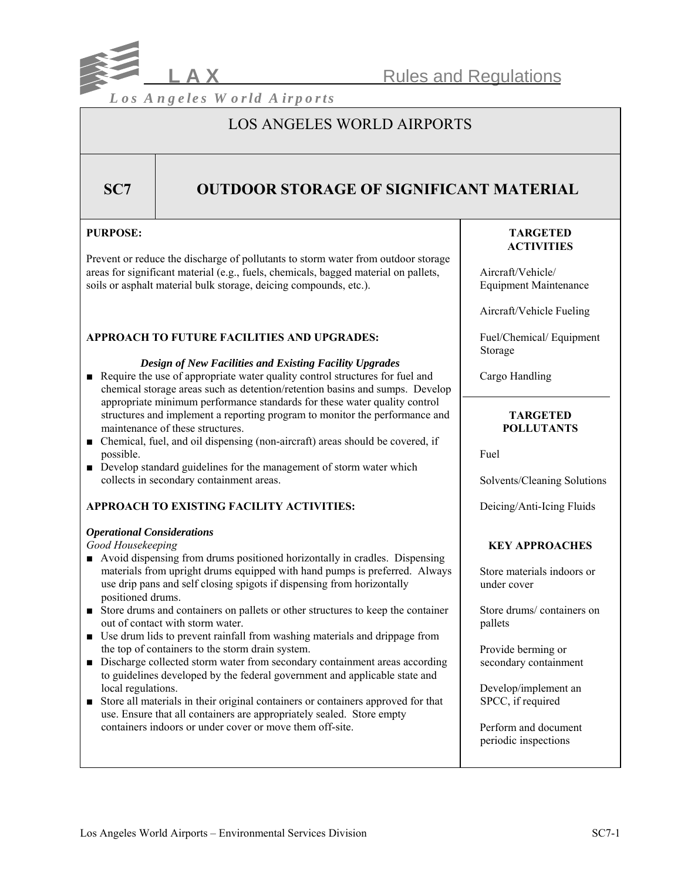

## LOS ANGELES WORLD AIRPORTS

## **SC7** OUTDOOR STORAGE OF SIGNIFICANT MATERIAL

## **PURPOSE:**

Prevent or reduce the discharge of pollutants to storm water from outdoor storage areas for significant material (e.g., fuels, chemicals, bagged material on pallets, soils or asphalt material bulk storage, deicing compounds, etc.).

## **APPROACH TO FUTURE FACILITIES AND UPGRADES:**

#### *Design of New Facilities and Existing Facility Upgrades*

- Require the use of appropriate water quality control structures for fuel and chemical storage areas such as detention/retention basins and sumps. Develop appropriate minimum performance standards for these water quality control structures and implement a reporting program to monitor the performance and maintenance of these structures.
- Chemical, fuel, and oil dispensing (non-aircraft) areas should be covered, if possible.
- Develop standard guidelines for the management of storm water which collects in secondary containment areas.

## **APPROACH TO EXISTING FACILITY ACTIVITIES:**

## *Operational Considerations*

*Good Housekeeping*

- Avoid dispensing from drums positioned horizontally in cradles. Dispensing materials from upright drums equipped with hand pumps is preferred. Always use drip pans and self closing spigots if dispensing from horizontally positioned drums.
- Store drums and containers on pallets or other structures to keep the container out of contact with storm water.
- Use drum lids to prevent rainfall from washing materials and drippage from the top of containers to the storm drain system.
- Discharge collected storm water from secondary containment areas according to guidelines developed by the federal government and applicable state and local regulations.
- Store all materials in their original containers or containers approved for that use. Ensure that all containers are appropriately sealed. Store empty containers indoors or under cover or move them off-site.

## **TARGETED ACTIVITIES**

 Aircraft/Vehicle/ Equipment Maintenance

Aircraft/Vehicle Fueling

 Fuel/Chemical/ Equipment Storage

Cargo Handling

## **TARGETED POLLUTANTS**

Fuel

Solvents/Cleaning Solutions

Deicing/Anti-Icing Fluids

## **KEY APPROACHES**

 Store materials indoors or under cover

 Store drums/ containers on pallets

 Provide berming or secondary containment

 Develop/implement an SPCC, if required

 Perform and document periodic inspections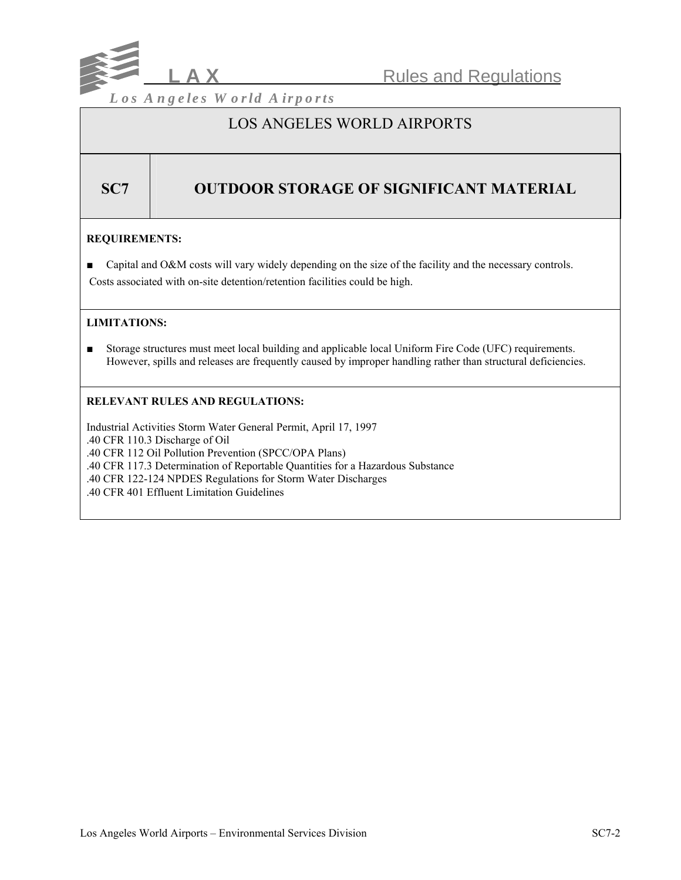

## LOS ANGELES WORLD AIRPORTS

## **SC7 | OUTDOOR STORAGE OF SIGNIFICANT MATERIAL**

## **REQUIREMENTS:**

- Capital and O&M costs will vary widely depending on the size of the facility and the necessary controls.
- Costs associated with on-site detention/retention facilities could be high.

## **LIMITATIONS:**

■ Storage structures must meet local building and applicable local Uniform Fire Code (UFC) requirements. However, spills and releases are frequently caused by improper handling rather than structural deficiencies.

## **RELEVANT RULES AND REGULATIONS:**

Industrial Activities Storm Water General Permit, April 17, 1997 .40 CFR 110.3 Discharge of Oil .40 CFR 112 Oil Pollution Prevention (SPCC/OPA Plans) .40 CFR 117.3 Determination of Reportable Quantities for a Hazardous Substance .40 CFR 122-124 NPDES Regulations for Storm Water Discharges .40 CFR 401 Effluent Limitation Guidelines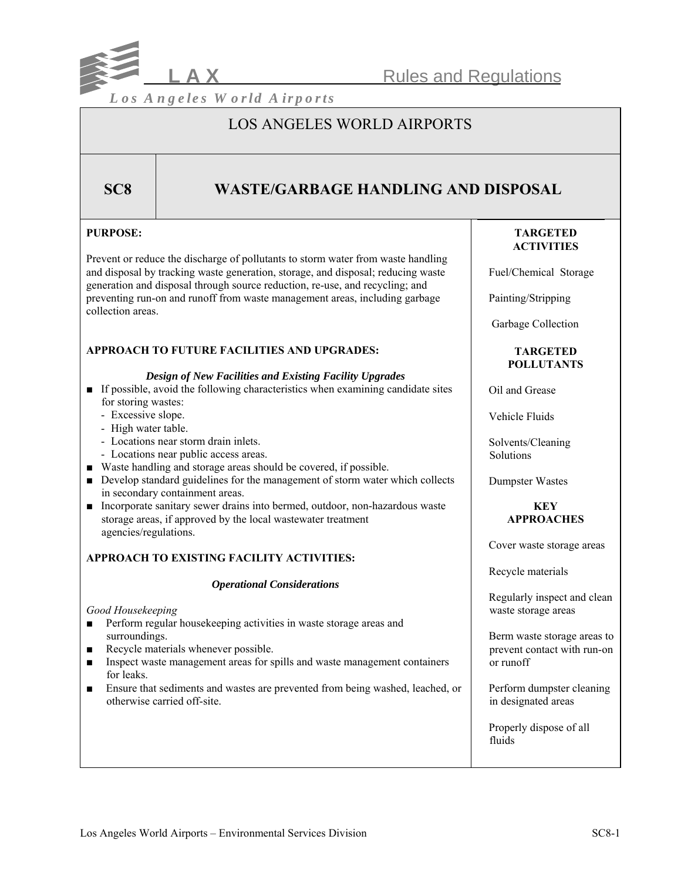

## LOS ANGELES WORLD AIRPORTS

## **SC8 WASTE/GARBAGE HANDLING AND DISPOSAL**

## **PURPOSE:**

Prevent or reduce the discharge of pollutants to storm water from waste handling and disposal by tracking waste generation, storage, and disposal; reducing waste generation and disposal through source reduction, re-use, and recycling; and preventing run-on and runoff from waste management areas, including garbage collection areas.

## **APPROACH TO FUTURE FACILITIES AND UPGRADES:**

#### *Design of New Facilities and Existing Facility Upgrades*

- If possible, avoid the following characteristics when examining candidate sites for storing wastes:
	- Excessive slope.
	- High water table.
	- Locations near storm drain inlets.
	- Locations near public access areas.
- Waste handling and storage areas should be covered, if possible.
- Develop standard guidelines for the management of storm water which collects in secondary containment areas.
- Incorporate sanitary sewer drains into bermed, outdoor, non-hazardous waste storage areas, if approved by the local wastewater treatment agencies/regulations.

## **APPROACH TO EXISTING FACILITY ACTIVITIES:**

#### *Operational Considerations*

## *Good Housekeeping*

- Perform regular housekeeping activities in waste storage areas and surroundings.
- Recycle materials whenever possible.
- Inspect waste management areas for spills and waste management containers for leaks.
- Ensure that sediments and wastes are prevented from being washed, leached, or otherwise carried off-site.

## **TARGETED ACTIVITIES**

Fuel/Chemical Storage

Painting/Stripping

Garbage Collection

### **TARGETED POLLUTANTS**

Oil and Grease

Vehicle Fluids

 Solvents/Cleaning **Solutions** 

Dumpster Wastes

## **KEY APPROACHES**

Cover waste storage areas

Recycle materials

 Regularly inspect and clean waste storage areas

 Berm waste storage areas to prevent contact with run-on or runoff

 Perform dumpster cleaning in designated areas

 Properly dispose of all fluids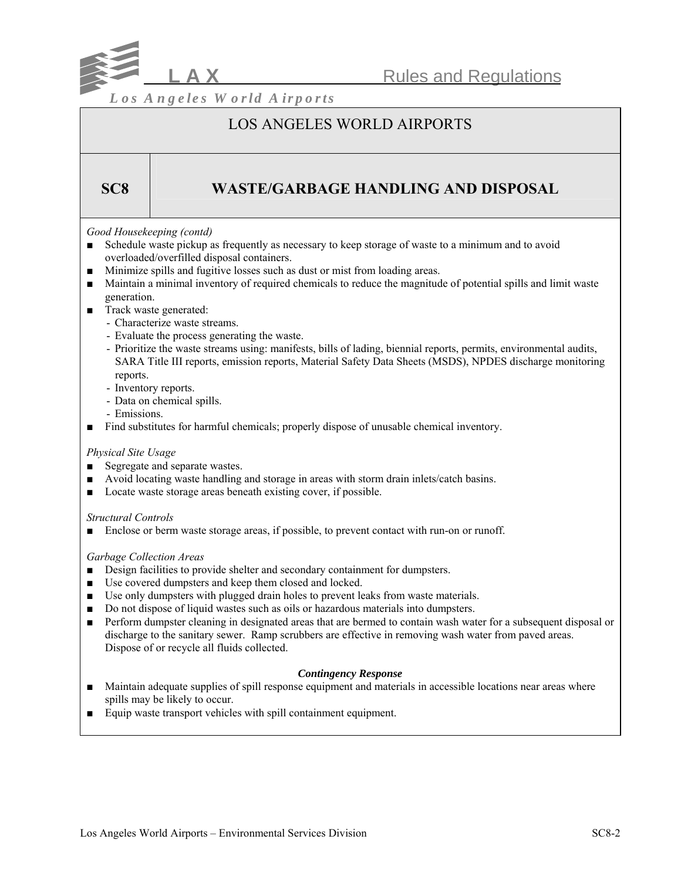

## LOS ANGELES WORLD AIRPORTS

## **SC8 WASTE/GARBAGE HANDLING AND DISPOSAL**

## *Good Housekeeping (contd)*

- Schedule waste pickup as frequently as necessary to keep storage of waste to a minimum and to avoid overloaded/overfilled disposal containers.
- Minimize spills and fugitive losses such as dust or mist from loading areas.
- Maintain a minimal inventory of required chemicals to reduce the magnitude of potential spills and limit waste generation.
- Track waste generated:
	- Characterize waste streams.
	- Evaluate the process generating the waste.
	- Prioritize the waste streams using: manifests, bills of lading, biennial reports, permits, environmental audits, SARA Title III reports, emission reports, Material Safety Data Sheets (MSDS), NPDES discharge monitoring reports.
	- Inventory reports.
	- Data on chemical spills.
	- Emissions.
- Find substitutes for harmful chemicals; properly dispose of unusable chemical inventory.

## *Physical Site Usage*

- Segregate and separate wastes.
- Avoid locating waste handling and storage in areas with storm drain inlets/catch basins.
- Locate waste storage areas beneath existing cover, if possible.

#### *Structural Controls*

■ Enclose or berm waste storage areas, if possible, to prevent contact with run-on or runoff.

## *Garbage Collection Areas*

- Design facilities to provide shelter and secondary containment for dumpsters.
- Use covered dumpsters and keep them closed and locked.
- Use only dumpsters with plugged drain holes to prevent leaks from waste materials.
- Do not dispose of liquid wastes such as oils or hazardous materials into dumpsters.
- Perform dumpster cleaning in designated areas that are bermed to contain wash water for a subsequent disposal or discharge to the sanitary sewer. Ramp scrubbers are effective in removing wash water from paved areas. Dispose of or recycle all fluids collected.

#### *Contingency Response*

- Maintain adequate supplies of spill response equipment and materials in accessible locations near areas where spills may be likely to occur.
- Equip waste transport vehicles with spill containment equipment.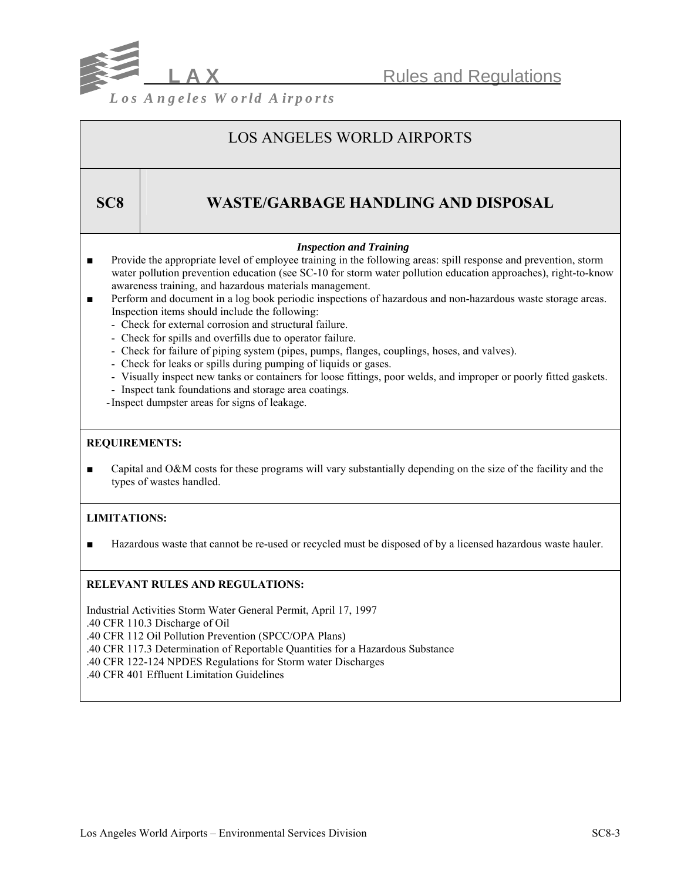

# LOS ANGELES WORLD AIRPORTS

## **SC8 WASTE/GARBAGE HANDLING AND DISPOSAL**

## *Inspection and Training*

- Provide the appropriate level of employee training in the following areas: spill response and prevention, storm water pollution prevention education (see SC-10 for storm water pollution education approaches), right-to-know awareness training, and hazardous materials management.
- Perform and document in a log book periodic inspections of hazardous and non-hazardous waste storage areas. Inspection items should include the following:
	- Check for external corrosion and structural failure.
	- Check for spills and overfills due to operator failure.
	- Check for failure of piping system (pipes, pumps, flanges, couplings, hoses, and valves).
	- Check for leaks or spills during pumping of liquids or gases.
	- Visually inspect new tanks or containers for loose fittings, poor welds, and improper or poorly fitted gaskets.
	- Inspect tank foundations and storage area coatings.
	- -Inspect dumpster areas for signs of leakage.

## **REQUIREMENTS:**

■ Capital and O&M costs for these programs will vary substantially depending on the size of the facility and the types of wastes handled.

## **LIMITATIONS:**

■ Hazardous waste that cannot be re-used or recycled must be disposed of by a licensed hazardous waste hauler.

## **RELEVANT RULES AND REGULATIONS:**

Industrial Activities Storm Water General Permit, April 17, 1997 .40 CFR 110.3 Discharge of Oil .40 CFR 112 Oil Pollution Prevention (SPCC/OPA Plans) .40 CFR 117.3 Determination of Reportable Quantities for a Hazardous Substance .40 CFR 122-124 NPDES Regulations for Storm water Discharges .40 CFR 401 Effluent Limitation Guidelines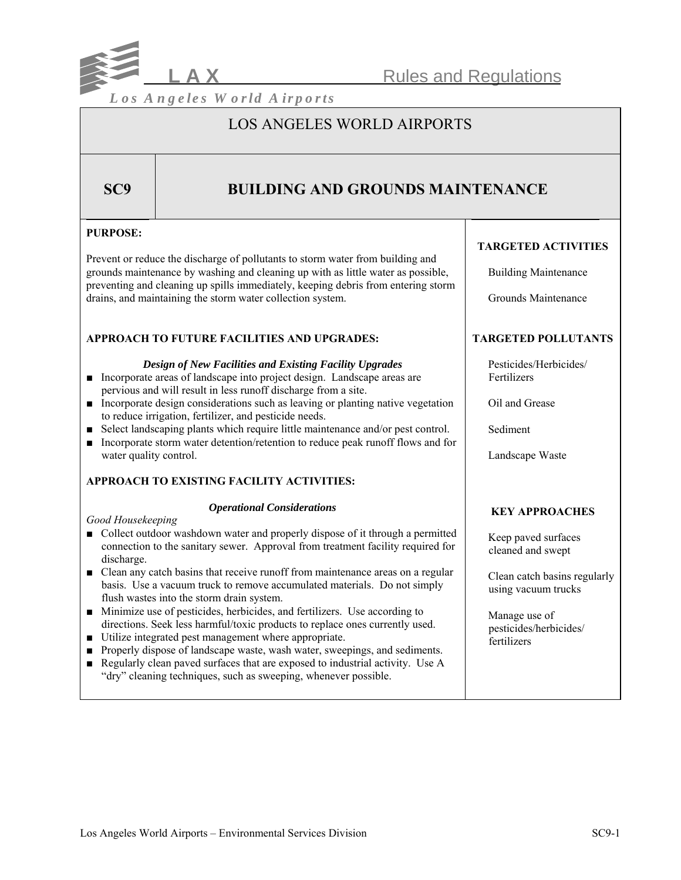

## LOS ANGELES WORLD AIRPORTS

## **SC9 BUILDING AND GROUNDS MAINTENANCE**

## **PURPOSE:**

Prevent or reduce the discharge of pollutants to storm water from building and grounds maintenance by washing and cleaning up with as little water as possible, preventing and cleaning up spills immediately, keeping debris from entering storm drains, and maintaining the storm water collection system.

## **APPROACH TO FUTURE FACILITIES AND UPGRADES:**

## *Design of New Facilities and Existing Facility Upgrades*

- Incorporate areas of landscape into project design. Landscape areas are pervious and will result in less runoff discharge from a site.
- Incorporate design considerations such as leaving or planting native vegetation to reduce irrigation, fertilizer, and pesticide needs.
- Select landscaping plants which require little maintenance and/or pest control.
- Incorporate storm water detention/retention to reduce peak runoff flows and for water quality control.

## **APPROACH TO EXISTING FACILITY ACTIVITIES:**

## *Operational Considerations*

### *Good Housekeeping*

- Collect outdoor washdown water and properly dispose of it through a permitted connection to the sanitary sewer. Approval from treatment facility required for discharge.
- Clean any catch basins that receive runoff from maintenance areas on a regular basis. Use a vacuum truck to remove accumulated materials. Do not simply flush wastes into the storm drain system.
- Minimize use of pesticides, herbicides, and fertilizers. Use according to directions. Seek less harmful/toxic products to replace ones currently used.
- Utilize integrated pest management where appropriate.
- Properly dispose of landscape waste, wash water, sweepings, and sediments.
- Regularly clean paved surfaces that are exposed to industrial activity. Use A "dry" cleaning techniques, such as sweeping, whenever possible.

## **TARGETED ACTIVITIES**

Building Maintenance

Grounds Maintenance

## **TARGETED POLLUTANTS**

 Pesticides/Herbicides/ Fertilizers

Oil and Grease

Sediment

Landscape Waste

## **KEY APPROACHES**

 Keep paved surfaces cleaned and swept

 Clean catch basins regularly using vacuum trucks

 Manage use of pesticides/herbicides/ fertilizers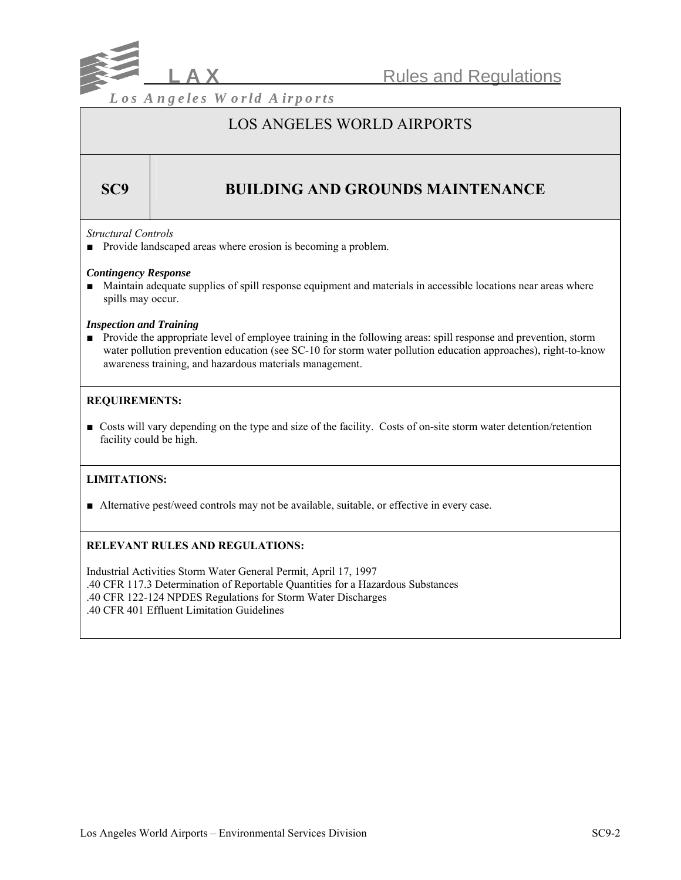

## LOS ANGELES WORLD AIRPORTS

## **SC9 BUILDING AND GROUNDS MAINTENANCE**

#### *Structural Controls*

■ Provide landscaped areas where erosion is becoming a problem.

#### *Contingency Response*

■ Maintain adequate supplies of spill response equipment and materials in accessible locations near areas where spills may occur.

#### *Inspection and Training*

■ Provide the appropriate level of employee training in the following areas: spill response and prevention, storm water pollution prevention education (see SC-10 for storm water pollution education approaches), right-to-know awareness training, and hazardous materials management.

## **REQUIREMENTS:**

■ Costs will vary depending on the type and size of the facility. Costs of on-site storm water detention/retention facility could be high.

## **LIMITATIONS:**

■ Alternative pest/weed controls may not be available, suitable, or effective in every case.

## **RELEVANT RULES AND REGULATIONS:**

Industrial Activities Storm Water General Permit, April 17, 1997 .40 CFR 117.3 Determination of Reportable Quantities for a Hazardous Substances .40 CFR 122-124 NPDES Regulations for Storm Water Discharges .40 CFR 401 Effluent Limitation Guidelines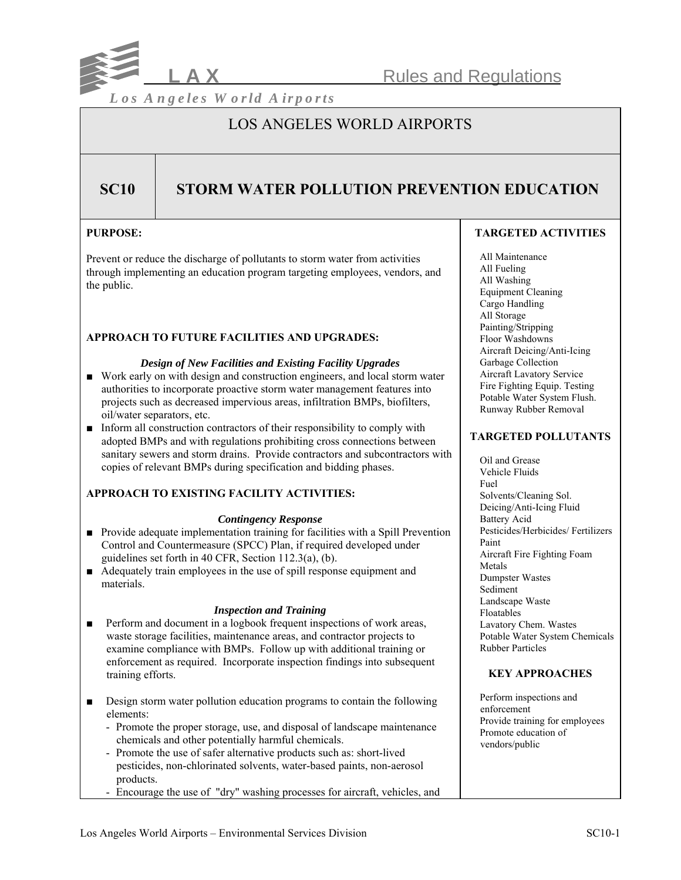

## LOS ANGELES WORLD AIRPORTS

## **SC10 STORM WATER POLLUTION PREVENTION EDUCATION**

## **PURPOSE:**

Prevent or reduce the discharge of pollutants to storm water from activities through implementing an education program targeting employees, vendors, and the public.

## **APPROACH TO FUTURE FACILITIES AND UPGRADES:**

#### *Design of New Facilities and Existing Facility Upgrades*

- Work early on with design and construction engineers, and local storm water authorities to incorporate proactive storm water management features into projects such as decreased impervious areas, infiltration BMPs, biofilters, oil/water separators, etc.
- Inform all construction contractors of their responsibility to comply with adopted BMPs and with regulations prohibiting cross connections between sanitary sewers and storm drains. Provide contractors and subcontractors with copies of relevant BMPs during specification and bidding phases.

## **APPROACH TO EXISTING FACILITY ACTIVITIES:**

## *Contingency Response*

- Provide adequate implementation training for facilities with a Spill Prevention Control and Countermeasure (SPCC) Plan, if required developed under guidelines set forth in 40 CFR, Section 112.3(a), (b).
- Adequately train employees in the use of spill response equipment and materials.

## *Inspection and Training*

- Perform and document in a logbook frequent inspections of work areas, waste storage facilities, maintenance areas, and contractor projects to examine compliance with BMPs. Follow up with additional training or enforcement as required. Incorporate inspection findings into subsequent training efforts.
- Design storm water pollution education programs to contain the following elements:
	- Promote the proper storage, use, and disposal of landscape maintenance chemicals and other potentially harmful chemicals.
	- Promote the use of safer alternative products such as: short-lived pesticides, non-chlorinated solvents, water-based paints, non-aerosol products.
	- Encourage the use of "dry" washing processes for aircraft, vehicles, and

## **TARGETED ACTIVITIES**

 All Maintenance All Fueling All Washing Equipment Cleaning Cargo Handling All Storage Painting/Stripping Floor Washdowns Aircraft Deicing/Anti-Icing Garbage Collection Aircraft Lavatory Service Fire Fighting Equip. Testing Potable Water System Flush. Runway Rubber Removal

## **TARGETED POLLUTANTS**

 Oil and Grease Vehicle Fluids Fuel Solvents/Cleaning Sol. Deicing/Anti-Icing Fluid Battery Acid Pesticides/Herbicides/ Fertilizers Paint Aircraft Fire Fighting Foam Metals Dumpster Wastes Sediment Landscape Waste Floatables Lavatory Chem. Wastes Potable Water System Chemicals Rubber Particles

## **KEY APPROACHES**

 Perform inspections and enforcement Provide training for employees Promote education of vendors/public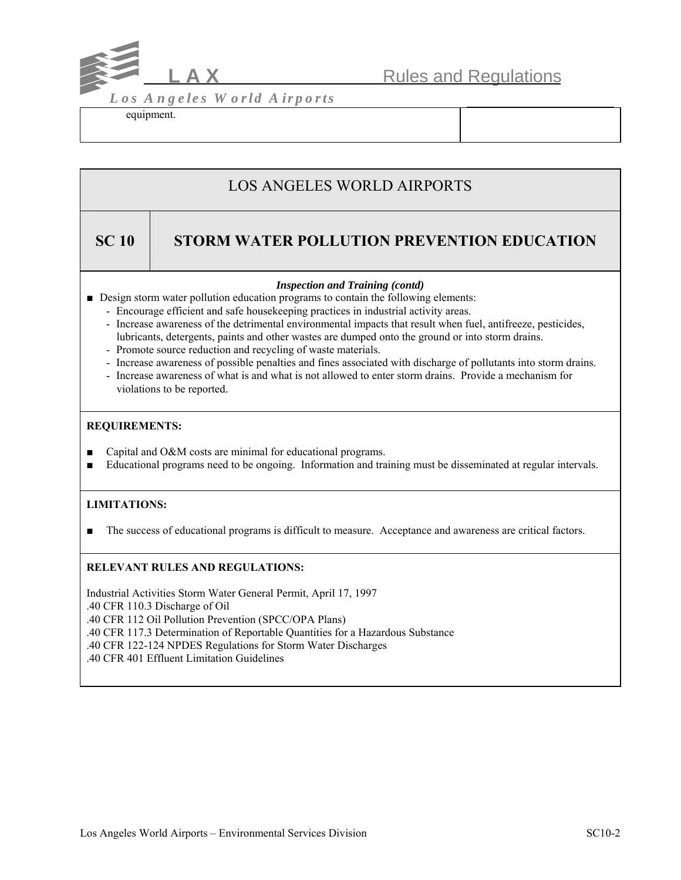

equipment.

# LOS ANGELES WORLD AIRPORTS

## **SC 10 STORM WATER POLLUTION PREVENTION EDUCATION**

## *Inspection and Training (contd)*

- Design storm water pollution education programs to contain the following elements:
	- Encourage efficient and safe housekeeping practices in industrial activity areas.
	- Increase awareness of the detrimental environmental impacts that result when fuel, antifreeze, pesticides, lubricants, detergents, paints and other wastes are dumped onto the ground or into storm drains.
	- Promote source reduction and recycling of waste materials.
	- Increase awareness of possible penalties and fines associated with discharge of pollutants into storm drains.
	- Increase awareness of what is and what is not allowed to enter storm drains. Provide a mechanism for violations to be reported.

## **REQUIREMENTS:**

- Capital and O&M costs are minimal for educational programs.
- Educational programs need to be ongoing. Information and training must be disseminated at regular intervals.

## **LIMITATIONS:**

The success of educational programs is difficult to measure. Acceptance and awareness are critical factors.

## **RELEVANT RULES AND REGULATIONS:**

Industrial Activities Storm Water General Permit, April 17, 1997 .40 CFR 110.3 Discharge of Oil .40 CFR 112 Oil Pollution Prevention (SPCC/OPA Plans) .40 CFR 117.3 Determination of Reportable Quantities for a Hazardous Substance .40 CFR 122-124 NPDES Regulations for Storm Water Discharges .40 CFR 401 Effluent Limitation Guidelines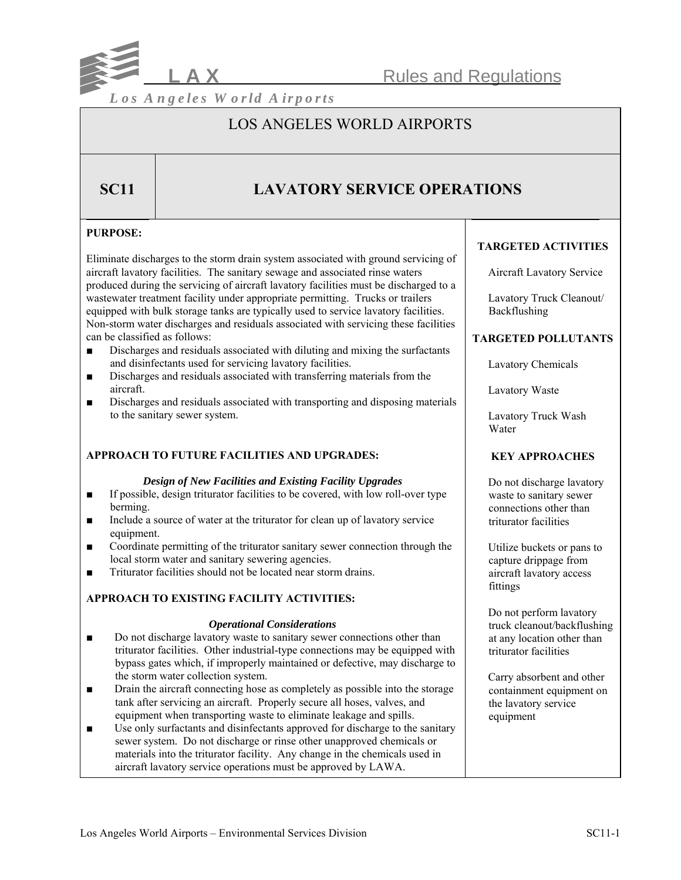

## LOS ANGELES WORLD AIRPORTS

## **SC11 LAVATORY SERVICE OPERATIONS**

## **PURPOSE:**

Eliminate discharges to the storm drain system associated with ground servicing of aircraft lavatory facilities. The sanitary sewage and associated rinse waters produced during the servicing of aircraft lavatory facilities must be discharged to a wastewater treatment facility under appropriate permitting. Trucks or trailers equipped with bulk storage tanks are typically used to service lavatory facilities. Non-storm water discharges and residuals associated with servicing these facilities can be classified as follows:

- Discharges and residuals associated with diluting and mixing the surfactants and disinfectants used for servicing lavatory facilities.
- Discharges and residuals associated with transferring materials from the aircraft.
- Discharges and residuals associated with transporting and disposing materials to the sanitary sewer system.

## **APPROACH TO FUTURE FACILITIES AND UPGRADES:**

#### *Design of New Facilities and Existing Facility Upgrades*

- If possible, design triturator facilities to be covered, with low roll-over type berming.
- Include a source of water at the triturator for clean up of lavatory service equipment.
- Coordinate permitting of the triturator sanitary sewer connection through the local storm water and sanitary sewering agencies.
- Triturator facilities should not be located near storm drains.

## **APPROACH TO EXISTING FACILITY ACTIVITIES:**

#### *Operational Considerations*

- Do not discharge lavatory waste to sanitary sewer connections other than triturator facilities. Other industrial-type connections may be equipped with bypass gates which, if improperly maintained or defective, may discharge to the storm water collection system.
- Drain the aircraft connecting hose as completely as possible into the storage tank after servicing an aircraft. Properly secure all hoses, valves, and equipment when transporting waste to eliminate leakage and spills.
- Use only surfactants and disinfectants approved for discharge to the sanitary sewer system. Do not discharge or rinse other unapproved chemicals or materials into the triturator facility. Any change in the chemicals used in aircraft lavatory service operations must be approved by LAWA.

## **TARGETED ACTIVITIES**

Aircraft Lavatory Service

 Lavatory Truck Cleanout/ Backflushing

## **TARGETED POLLUTANTS**

Lavatory Chemicals

Lavatory Waste

 Lavatory Truck Wash Water

## **KEY APPROACHES**

 Do not discharge lavatory waste to sanitary sewer connections other than triturator facilities

 Utilize buckets or pans to capture drippage from aircraft lavatory access fittings

 Do not perform lavatory truck cleanout/backflushing at any location other than triturator facilities

 Carry absorbent and other containment equipment on the lavatory service equipment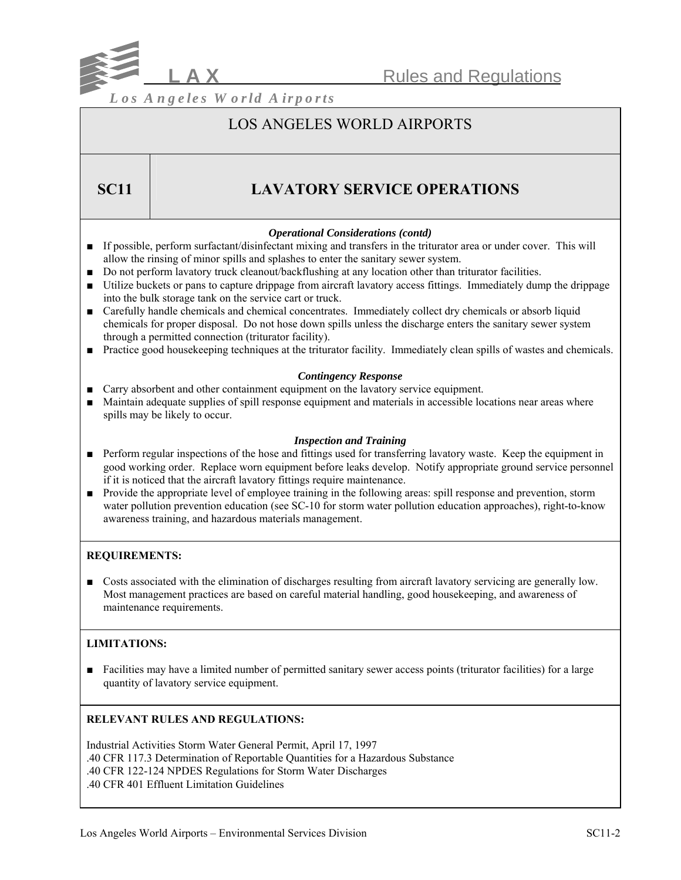

## LOS ANGELES WORLD AIRPORTS

## **SC11** LAVATORY SERVICE OPERATIONS

## *Operational Considerations (contd)*

- If possible, perform surfactant/disinfectant mixing and transfers in the triturator area or under cover. This will allow the rinsing of minor spills and splashes to enter the sanitary sewer system.
- Do not perform lavatory truck cleanout/backflushing at any location other than triturator facilities.
- Utilize buckets or pans to capture drippage from aircraft lavatory access fittings. Immediately dump the drippage into the bulk storage tank on the service cart or truck.
- Carefully handle chemicals and chemical concentrates. Immediately collect dry chemicals or absorb liquid chemicals for proper disposal. Do not hose down spills unless the discharge enters the sanitary sewer system through a permitted connection (triturator facility).
- Practice good housekeeping techniques at the triturator facility. Immediately clean spills of wastes and chemicals.

## *Contingency Response*

- Carry absorbent and other containment equipment on the lavatory service equipment.
- Maintain adequate supplies of spill response equipment and materials in accessible locations near areas where spills may be likely to occur.

## *Inspection and Training*

- Perform regular inspections of the hose and fittings used for transferring lavatory waste. Keep the equipment in good working order. Replace worn equipment before leaks develop. Notify appropriate ground service personnel if it is noticed that the aircraft lavatory fittings require maintenance.
- Provide the appropriate level of employee training in the following areas: spill response and prevention, storm water pollution prevention education (see SC-10 for storm water pollution education approaches), right-to-know awareness training, and hazardous materials management.

## **REQUIREMENTS:**

■ Costs associated with the elimination of discharges resulting from aircraft lavatory servicing are generally low. Most management practices are based on careful material handling, good housekeeping, and awareness of maintenance requirements.

## **LIMITATIONS:**

■ Facilities may have a limited number of permitted sanitary sewer access points (triturator facilities) for a large quantity of lavatory service equipment.

## **RELEVANT RULES AND REGULATIONS:**

Industrial Activities Storm Water General Permit, April 17, 1997 .40 CFR 117.3 Determination of Reportable Quantities for a Hazardous Substance .40 CFR 122-124 NPDES Regulations for Storm Water Discharges .40 CFR 401 Effluent Limitation Guidelines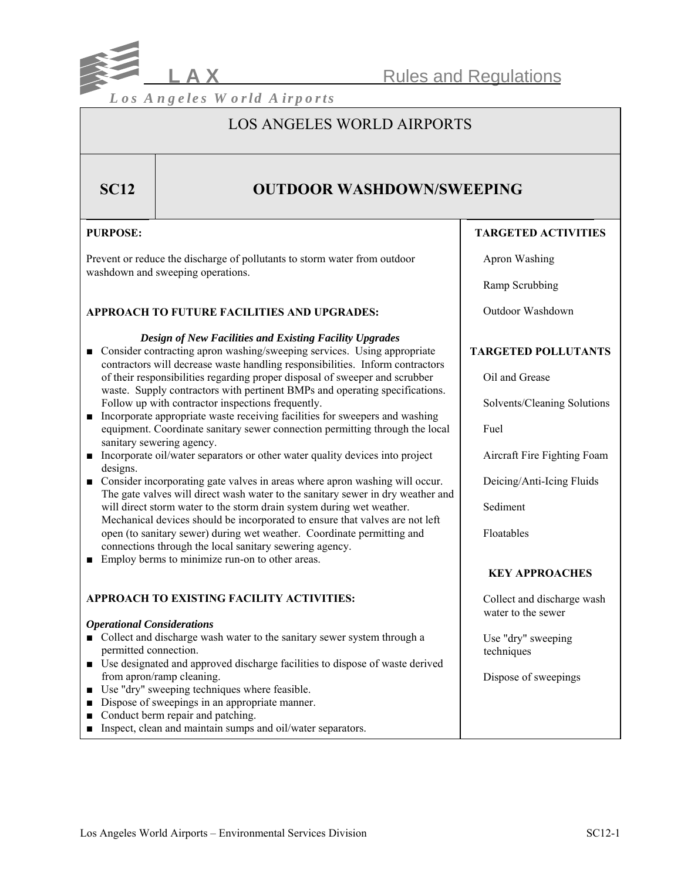

## LOS ANGELES WORLD AIRPORTS

## **SC12** OUTDOOR WASHDOWN/SWEEPING

## **PURPOSE:**

Prevent or reduce the discharge of pollutants to storm water from outdoor washdown and sweeping operations.

## **APPROACH TO FUTURE FACILITIES AND UPGRADES:**

## *Design of New Facilities and Existing Facility Upgrades*

- Consider contracting apron washing/sweeping services. Using appropriate contractors will decrease waste handling responsibilities. Inform contractors of their responsibilities regarding proper disposal of sweeper and scrubber waste. Supply contractors with pertinent BMPs and operating specifications. Follow up with contractor inspections frequently.
- Incorporate appropriate waste receiving facilities for sweepers and washing equipment. Coordinate sanitary sewer connection permitting through the local sanitary sewering agency.
- Incorporate oil/water separators or other water quality devices into project designs.
- Consider incorporating gate valves in areas where apron washing will occur. The gate valves will direct wash water to the sanitary sewer in dry weather and will direct storm water to the storm drain system during wet weather. Mechanical devices should be incorporated to ensure that valves are not left open (to sanitary sewer) during wet weather. Coordinate permitting and connections through the local sanitary sewering agency.
- Employ berms to minimize run-on to other areas.

## **APPROACH TO EXISTING FACILITY ACTIVITIES:**

#### *Operational Considerations*

- Collect and discharge wash water to the sanitary sewer system through a permitted connection.
- Use designated and approved discharge facilities to dispose of waste derived from apron/ramp cleaning.
- Use "dry" sweeping techniques where feasible.
- Dispose of sweepings in an appropriate manner.
- Conduct berm repair and patching.
- Inspect, clean and maintain sumps and oil/water separators.

## **TARGETED ACTIVITIES**

Apron Washing

Ramp Scrubbing

Outdoor Washdown

## **TARGETED POLLUTANTS**

Oil and Grease

Solvents/Cleaning Solutions

Fuel

Aircraft Fire Fighting Foam

Deicing/Anti-Icing Fluids

Sediment

Floatables

## **KEY APPROACHES**

 Collect and discharge wash water to the sewer

 Use "dry" sweeping techniques

Dispose of sweepings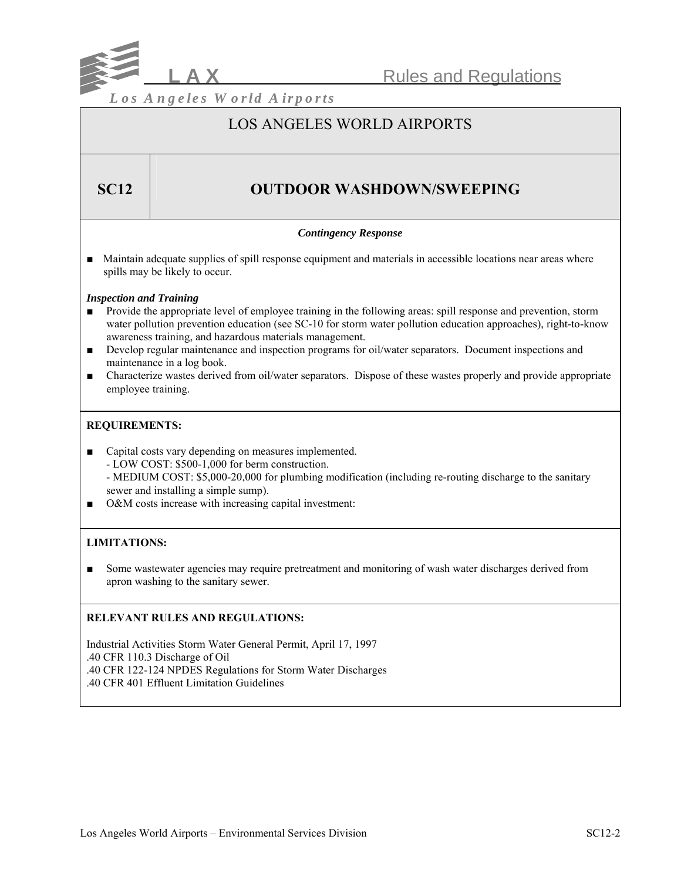

## LOS ANGELES WORLD AIRPORTS

## **SC12** | **OUTDOOR WASHDOWN/SWEEPING**

## *Contingency Response*

■ Maintain adequate supplies of spill response equipment and materials in accessible locations near areas where spills may be likely to occur.

## *Inspection and Training*

- Provide the appropriate level of employee training in the following areas: spill response and prevention, storm water pollution prevention education (see SC-10 for storm water pollution education approaches), right-to-know awareness training, and hazardous materials management.
- Develop regular maintenance and inspection programs for oil/water separators. Document inspections and maintenance in a log book.
- Characterize wastes derived from oil/water separators. Dispose of these wastes properly and provide appropriate employee training.

## **REQUIREMENTS:**

- Capital costs vary depending on measures implemented. - LOW COST: \$500-1,000 for berm construction. - MEDIUM COST: \$5,000-20,000 for plumbing modification (including re-routing discharge to the sanitary sewer and installing a simple sump).
- O&M costs increase with increasing capital investment:

## **LIMITATIONS:**

■ Some wastewater agencies may require pretreatment and monitoring of wash water discharges derived from apron washing to the sanitary sewer.

## **RELEVANT RULES AND REGULATIONS:**

Industrial Activities Storm Water General Permit, April 17, 1997 .40 CFR 110.3 Discharge of Oil .40 CFR 122-124 NPDES Regulations for Storm Water Discharges .40 CFR 401 Effluent Limitation Guidelines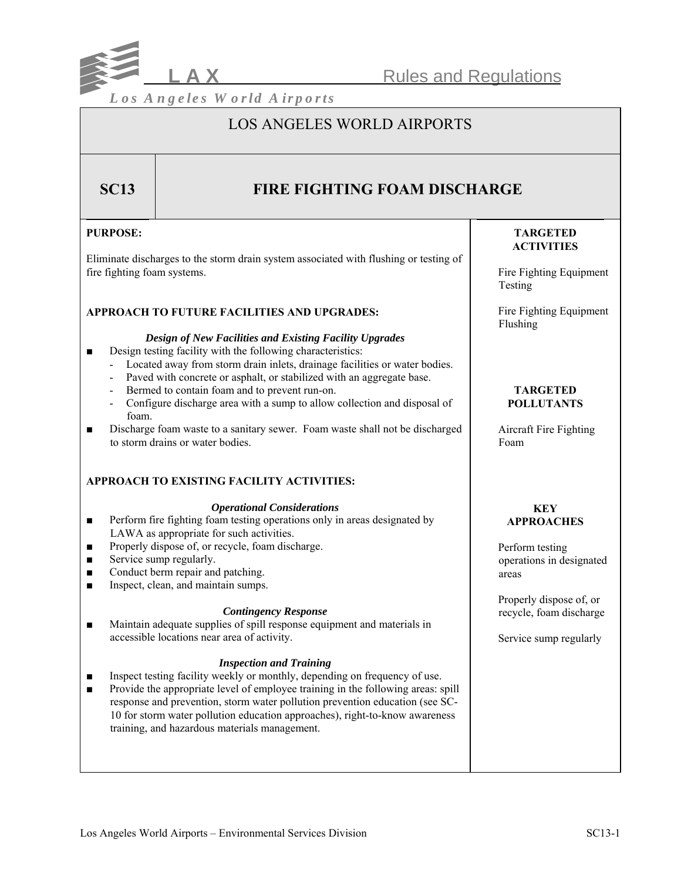

**Rules and Regulations** 

*L os A ngeles W orld A irports*

## LOS ANGELES WORLD AIRPORTS

## **SC13 FIRE FIGHTING FOAM DISCHARGE**

## **PURPOSE:**

Eliminate discharges to the storm drain system associated with flushing or testing of fire fighting foam systems.

## **APPROACH TO FUTURE FACILITIES AND UPGRADES:**

#### *Design of New Facilities and Existing Facility Upgrades*

- Design testing facility with the following characteristics:
	- Located away from storm drain inlets, drainage facilities or water bodies.
	- Paved with concrete or asphalt, or stabilized with an aggregate base.
	- Bermed to contain foam and to prevent run-on.
	- Configure discharge area with a sump to allow collection and disposal of foam.
- Discharge foam waste to a sanitary sewer. Foam waste shall not be discharged to storm drains or water bodies.

## **APPROACH TO EXISTING FACILITY ACTIVITIES:**

#### *Operational Considerations*

- Perform fire fighting foam testing operations only in areas designated by LAWA as appropriate for such activities.
- Properly dispose of, or recycle, foam discharge.
- Service sump regularly.
- Conduct berm repair and patching.
- Inspect, clean, and maintain sumps.

#### *Contingency Response*

■ Maintain adequate supplies of spill response equipment and materials in accessible locations near area of activity.

## *Inspection and Training*

- Inspect testing facility weekly or monthly, depending on frequency of use.
- Provide the appropriate level of employee training in the following areas: spill response and prevention, storm water pollution prevention education (see SC-10 for storm water pollution education approaches), right-to-know awareness training, and hazardous materials management.

## **TARGETED ACTIVITIES**

 Fire Fighting Equipment Testing

 Fire Fighting Equipment Flushing

### **TARGETED POLLUTANTS**

 Aircraft Fire Fighting Foam

## **KEY APPROACHES**

 Perform testing operations in designated areas

 Properly dispose of, or recycle, foam discharge

Service sump regularly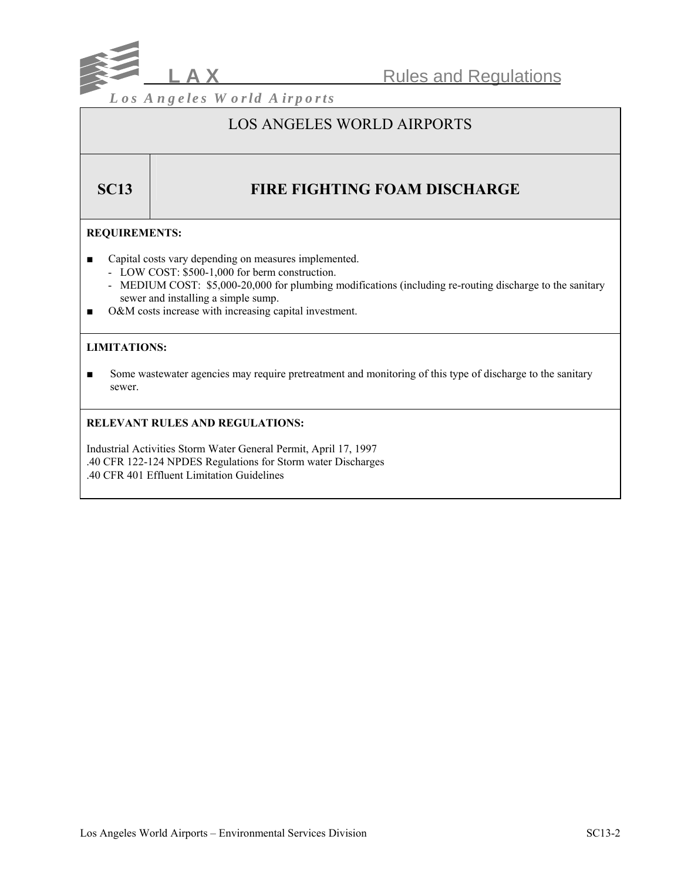

## LOS ANGELES WORLD AIRPORTS

# **SC13** FIRE FIGHTING FOAM DISCHARGE

## **REQUIREMENTS:**

- Capital costs vary depending on measures implemented.
	- LOW COST: \$500-1,000 for berm construction.
	- MEDIUM COST: \$5,000-20,000 for plumbing modifications (including re-routing discharge to the sanitary sewer and installing a simple sump.
- O&M costs increase with increasing capital investment.

## **LIMITATIONS:**

■ Some wastewater agencies may require pretreatment and monitoring of this type of discharge to the sanitary sewer.

## **RELEVANT RULES AND REGULATIONS:**

Industrial Activities Storm Water General Permit, April 17, 1997 .40 CFR 122-124 NPDES Regulations for Storm water Discharges .40 CFR 401 Effluent Limitation Guidelines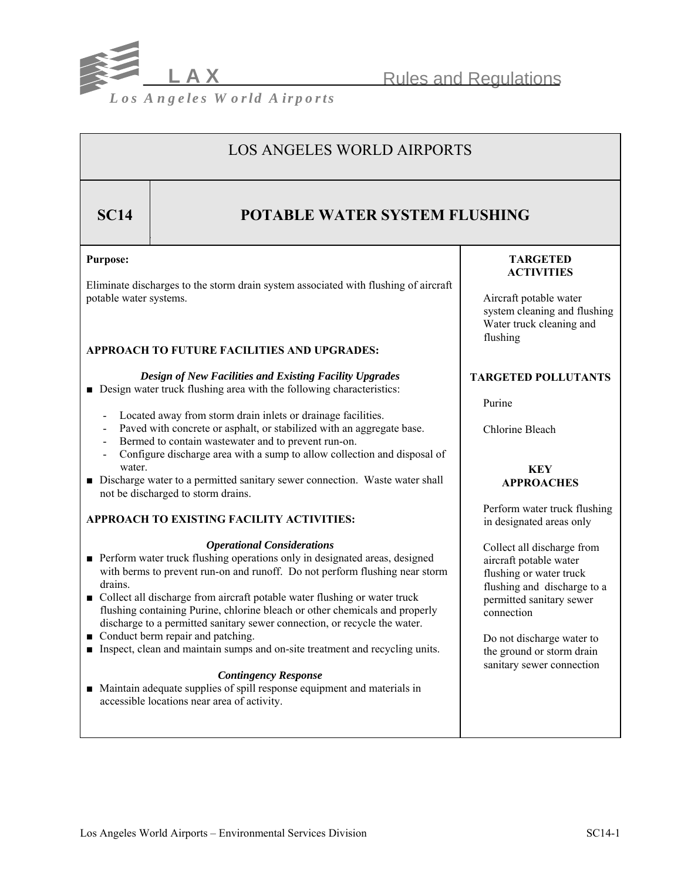

**Rules and Regulations** 

# LOS ANGELES WORLD AIRPORTS

## **SC14** POTABLE WATER SYSTEM FLUSHING

## **Purpose:**

Eliminate discharges to the storm drain system associated with flushing of aircraft potable water systems.

## **APPROACH TO FUTURE FACILITIES AND UPGRADES:**

## *Design of New Facilities and Existing Facility Upgrades*

- Design water truck flushing area with the following characteristics:
	- Located away from storm drain inlets or drainage facilities.
	- Paved with concrete or asphalt, or stabilized with an aggregate base.
	- Bermed to contain wastewater and to prevent run-on.
	- Configure discharge area with a sump to allow collection and disposal of water.
- Discharge water to a permitted sanitary sewer connection. Waste water shall not be discharged to storm drains.

## **APPROACH TO EXISTING FACILITY ACTIVITIES:**

### *Operational Considerations*

- Perform water truck flushing operations only in designated areas, designed with berms to prevent run-on and runoff. Do not perform flushing near storm drains.
- Collect all discharge from aircraft potable water flushing or water truck flushing containing Purine, chlorine bleach or other chemicals and properly discharge to a permitted sanitary sewer connection, or recycle the water.
- Conduct berm repair and patching.
- Inspect, clean and maintain sumps and on-site treatment and recycling units.

## *Contingency Response*

■ Maintain adequate supplies of spill response equipment and materials in accessible locations near area of activity.

## **TARGETED ACTIVITIES**

 Aircraft potable water system cleaning and flushing Water truck cleaning and flushing

## **TARGETED POLLUTANTS**

Purine

Chlorine Bleach

## **KEY APPROACHES**

 Perform water truck flushing in designated areas only

 Collect all discharge from aircraft potable water flushing or water truck flushing and discharge to a permitted sanitary sewer connection

 Do not discharge water to the ground or storm drain sanitary sewer connection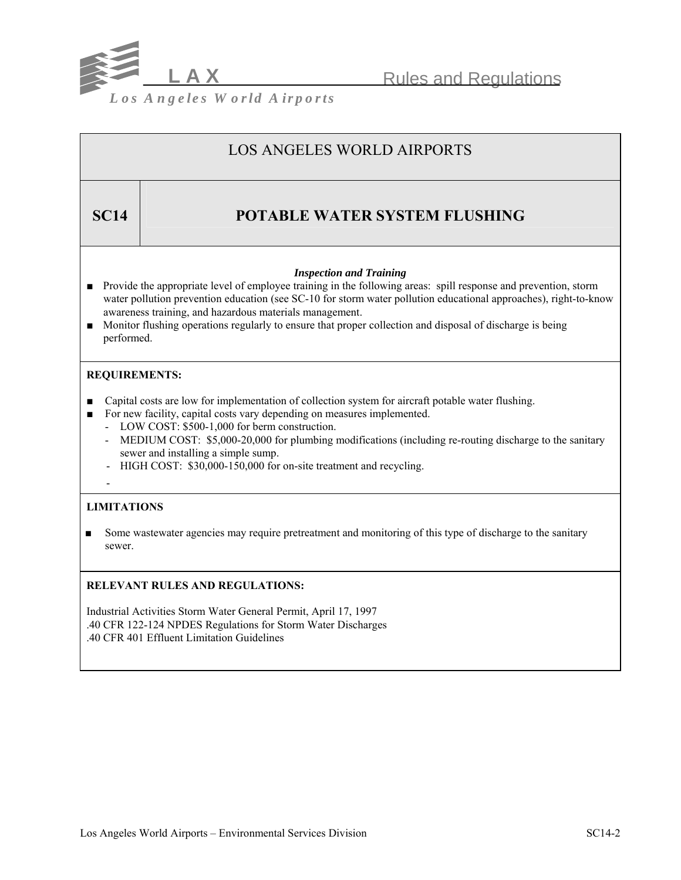

# LOS ANGELES WORLD AIRPORTS **SC14** POTABLE WATER SYSTEM FLUSHING *Inspection and Training* ■ Provide the appropriate level of employee training in the following areas: spill response and prevention, storm water pollution prevention education (see SC-10 for storm water pollution educational approaches), right-to-know awareness training, and hazardous materials management. ■ Monitor flushing operations regularly to ensure that proper collection and disposal of discharge is being performed. **REQUIREMENTS:**  ■ Capital costs are low for implementation of collection system for aircraft potable water flushing. ■ For new facility, capital costs vary depending on measures implemented. - LOW COST: \$500-1,000 for berm construction. - MEDIUM COST: \$5,000-20,000 for plumbing modifications (including re-routing discharge to the sanitary sewer and installing a simple sump. - HIGH COST: \$30,000-150,000 for on-site treatment and recycling. - **LIMITATIONS**  ■ Some wastewater agencies may require pretreatment and monitoring of this type of discharge to the sanitary sewer. **RELEVANT RULES AND REGULATIONS:**

Industrial Activities Storm Water General Permit, April 17, 1997 .40 CFR 122-124 NPDES Regulations for Storm Water Discharges .40 CFR 401 Effluent Limitation Guidelines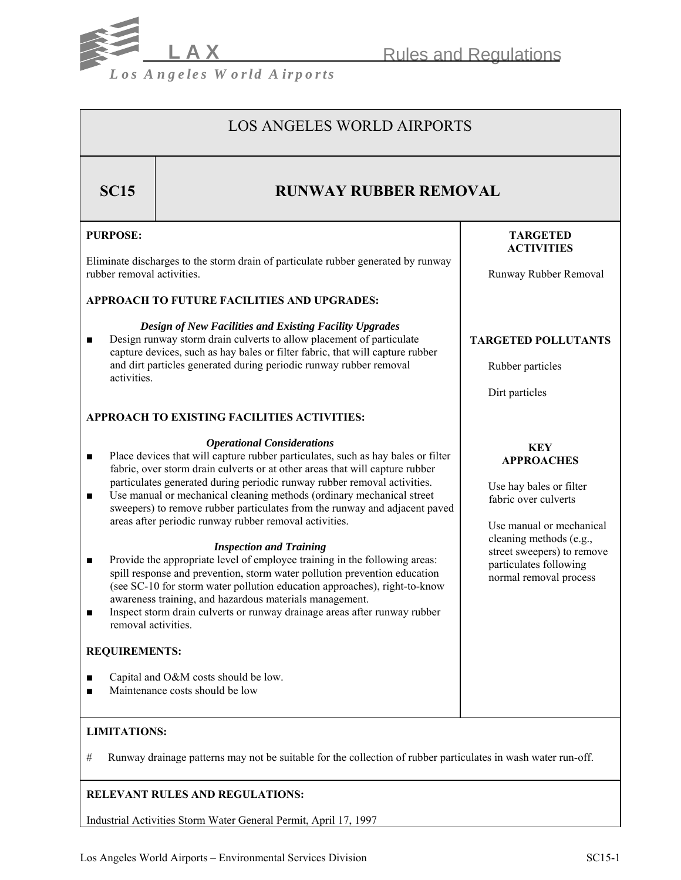

LOS ANGELES WORLD AIRPORTS

# **SC15 RUNWAY RUBBER REMOVAL**

## **PURPOSE:**

Eliminate discharges to the storm drain of particulate rubber generated by runway rubber removal activities.

## **APPROACH TO FUTURE FACILITIES AND UPGRADES:**

*Design of New Facilities and Existing Facility Upgrades* ■ Design runway storm drain culverts to allow placement of particulate capture devices, such as hay bales or filter fabric, that will capture rubber and dirt particles generated during periodic runway rubber removal activities.

## **APPROACH TO EXISTING FACILITIES ACTIVITIES:**

## *Operational Considerations*

- Place devices that will capture rubber particulates, such as hay bales or filter fabric, over storm drain culverts or at other areas that will capture rubber particulates generated during periodic runway rubber removal activities.
- Use manual or mechanical cleaning methods (ordinary mechanical street sweepers) to remove rubber particulates from the runway and adjacent paved areas after periodic runway rubber removal activities.

## *Inspection and Training*

- Provide the appropriate level of employee training in the following areas: spill response and prevention, storm water pollution prevention education (see SC-10 for storm water pollution education approaches), right-to-know awareness training, and hazardous materials management.
- Inspect storm drain culverts or runway drainage areas after runway rubber removal activities.

## **REQUIREMENTS:**

- Capital and O&M costs should be low.
- Maintenance costs should be low

## **LIMITATIONS:**

# Runway drainage patterns may not be suitable for the collection of rubber particulates in wash water run-off.

## **RELEVANT RULES AND REGULATIONS:**

Industrial Activities Storm Water General Permit, April 17, 1997

## **TARGETED ACTIVITIES**

Runway Rubber Removal

## **TARGETED POLLUTANTS**

Rubber particles

Dirt particles

#### **KEY APPROACHES**

 Use hay bales or filter fabric over culverts

 Use manual or mechanical cleaning methods (e.g., street sweepers) to remove particulates following normal removal process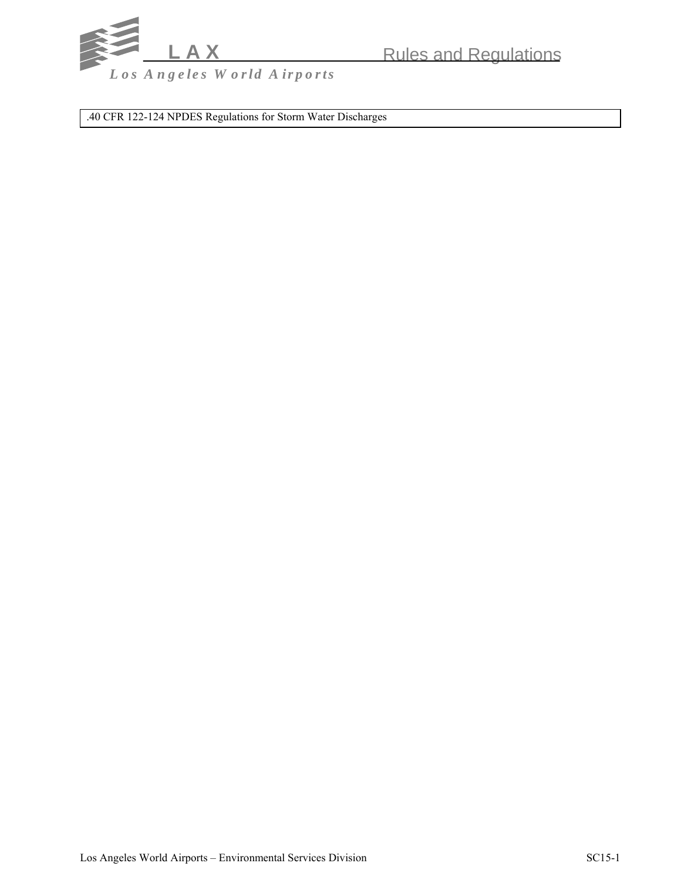

.40 CFR 122-124 NPDES Regulations for Storm Water Discharges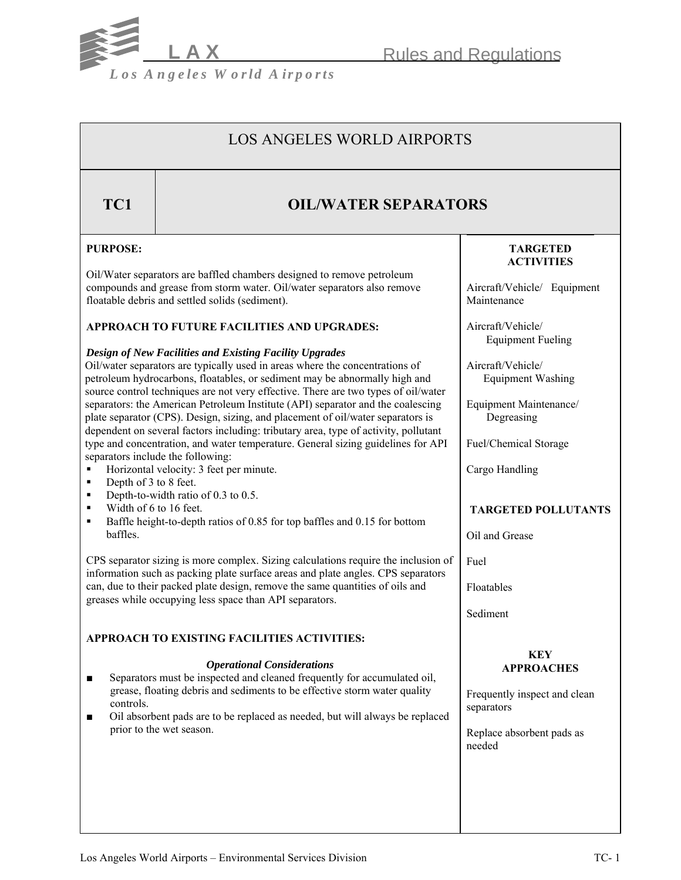**Rules and Regulations** 



## LOS ANGELES WORLD AIRPORTS

## **TC1 OIL/WATER SEPARATORS**

## **PURPOSE:**

Oil/Water separators are baffled chambers designed to remove petroleum compounds and grease from storm water. Oil/water separators also remove floatable debris and settled solids (sediment).

## **APPROACH TO FUTURE FACILITIES AND UPGRADES:**

## *Design of New Facilities and Existing Facility Upgrades*

Oil/water separators are typically used in areas where the concentrations of petroleum hydrocarbons, floatables, or sediment may be abnormally high and source control techniques are not very effective. There are two types of oil/water separators: the American Petroleum Institute (API) separator and the coalescing plate separator (CPS). Design, sizing, and placement of oil/water separators is dependent on several factors including: tributary area, type of activity, pollutant type and concentration, and water temperature. General sizing guidelines for API separators include the following:

- Horizontal velocity: 3 feet per minute.
- Depth of 3 to 8 feet.
- Depth-to-width ratio of  $0.3$  to  $0.5$ .
- $\blacksquare$  Width of 6 to 16 feet.<br>
Baffle height-to-depth
- Baffle height-to-depth ratios of 0.85 for top baffles and 0.15 for bottom baffles.

CPS separator sizing is more complex. Sizing calculations require the inclusion of information such as packing plate surface areas and plate angles. CPS separators can, due to their packed plate design, remove the same quantities of oils and greases while occupying less space than API separators.

## **APPROACH TO EXISTING FACILITIES ACTIVITIES:**

## *Operational Considerations*

- Separators must be inspected and cleaned frequently for accumulated oil, grease, floating debris and sediments to be effective storm water quality controls.
- Oil absorbent pads are to be replaced as needed, but will always be replaced prior to the wet season.

## **TARGETED ACTIVITIES**

Aircraft/Vehicle/ Equipment Maintenance

Aircraft/Vehicle/ Equipment Fueling

Aircraft/Vehicle/ Equipment Washing

Equipment Maintenance/ Degreasing

Fuel/Chemical Storage

Cargo Handling

## **TARGETED POLLUTANTS**

Oil and Grease

Fuel

Floatables

Sediment

## **KEY APPROACHES**

Frequently inspect and clean separators

Replace absorbent pads as needed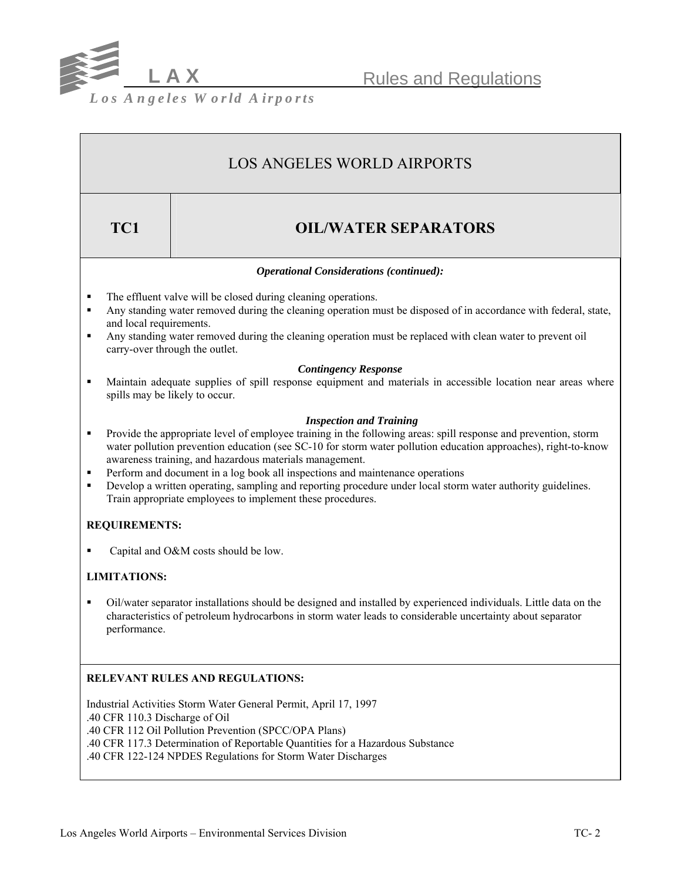

**L A X** Rules and Regulations

*L os A ngeles W orld A irports*

# LOS ANGELES WORLD AIRPORTS

## **TC1** OIL/WATER SEPARATORS

## *Operational Considerations (continued):*

- The effluent valve will be closed during cleaning operations.
- Any standing water removed during the cleaning operation must be disposed of in accordance with federal, state, and local requirements.
- Any standing water removed during the cleaning operation must be replaced with clean water to prevent oil carry-over through the outlet.

## *Contingency Response*

 Maintain adequate supplies of spill response equipment and materials in accessible location near areas where spills may be likely to occur.

## *Inspection and Training*

- Provide the appropriate level of employee training in the following areas: spill response and prevention, storm water pollution prevention education (see SC-10 for storm water pollution education approaches), right-to-know awareness training, and hazardous materials management.
- Perform and document in a log book all inspections and maintenance operations
- Develop a written operating, sampling and reporting procedure under local storm water authority guidelines. Train appropriate employees to implement these procedures.

## **REQUIREMENTS:**

■ Capital and O&M costs should be low.

## **LIMITATIONS:**

 Oil/water separator installations should be designed and installed by experienced individuals. Little data on the characteristics of petroleum hydrocarbons in storm water leads to considerable uncertainty about separator performance.

## **RELEVANT RULES AND REGULATIONS:**

Industrial Activities Storm Water General Permit, April 17, 1997 .40 CFR 110.3 Discharge of Oil .40 CFR 112 Oil Pollution Prevention (SPCC/OPA Plans) .40 CFR 117.3 Determination of Reportable Quantities for a Hazardous Substance .40 CFR 122-124 NPDES Regulations for Storm Water Discharges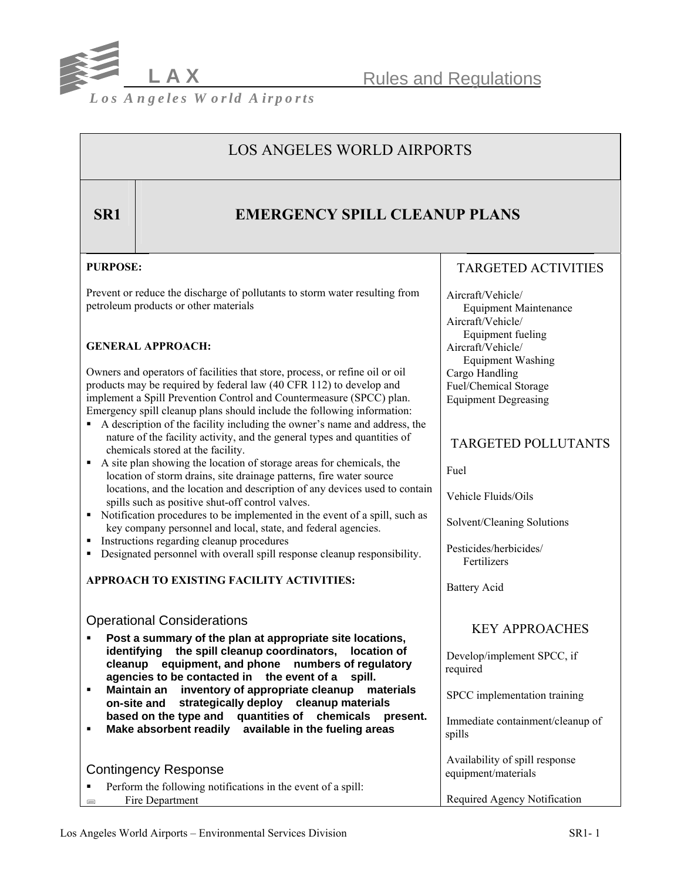

Rules and Regulations

*L os A ngeles W orld A irports*

## LOS ANGELES WORLD AIRPORTS

## **SR1** EMERGENCY SPILL CLEANUP PLANS

## **PURPOSE:**

Prevent or reduce the discharge of pollutants to storm water resulting from petroleum products or other materials

## **GENERAL APPROACH:**

Owners and operators of facilities that store, process, or refine oil or oil products may be required by federal law (40 CFR 112) to develop and implement a Spill Prevention Control and Countermeasure (SPCC) plan. Emergency spill cleanup plans should include the following information:

- A description of the facility including the owner's name and address, the nature of the facility activity, and the general types and quantities of chemicals stored at the facility.
- A site plan showing the location of storage areas for chemicals, the location of storm drains, site drainage patterns, fire water source locations, and the location and description of any devices used to contain spills such as positive shut-off control valves.
- Notification procedures to be implemented in the event of a spill, such as key company personnel and local, state, and federal agencies.
- **Instructions regarding cleanup procedures**
- Designated personnel with overall spill response cleanup responsibility.

## **APPROACH TO EXISTING FACILITY ACTIVITIES:**

## Operational Considerations

- **Post a summary of the plan at appropriate site locations,**  identifying the spill cleanup coordinators, location of cleanup equipment, and phone numbers of regulatory **agencies to be contacted in the event of a spill.**
- **E** Maintain an inventory of appropriate cleanup materials **on-site and strategically deploy cleanup materials based on the type and uantities of chemicals present. q**
- **Make absorbent readily available in the fueling areas**

|                                                              | <b>SPILIS</b>                                         |
|--------------------------------------------------------------|-------------------------------------------------------|
| <b>Contingency Response</b>                                  | Availability of spill response<br>equipment/materials |
| Perform the following notifications in the event of a spill: |                                                       |
| Fire Department                                              | Required Agency Notification                          |

## TARGETED ACTIVITIES

Aircraft/Vehicle/ Equipment Maintenance Aircraft/Vehicle/ Equipment fueling Aircraft/Vehicle/ Equipment Washing Cargo Handling Fuel/Chemical Storage Equipment Degreasing

## TARGETED POLLUTANTS

Fuel

Vehicle Fluids/Oils

Solvent/Cleaning Solutions

Pesticides/herbicides/ Fertilizers

Battery Acid

## KEY APPROACHES

Develop/implement SPCC, if required

SPCC implementation training

Immediate containment/cleanup of spills